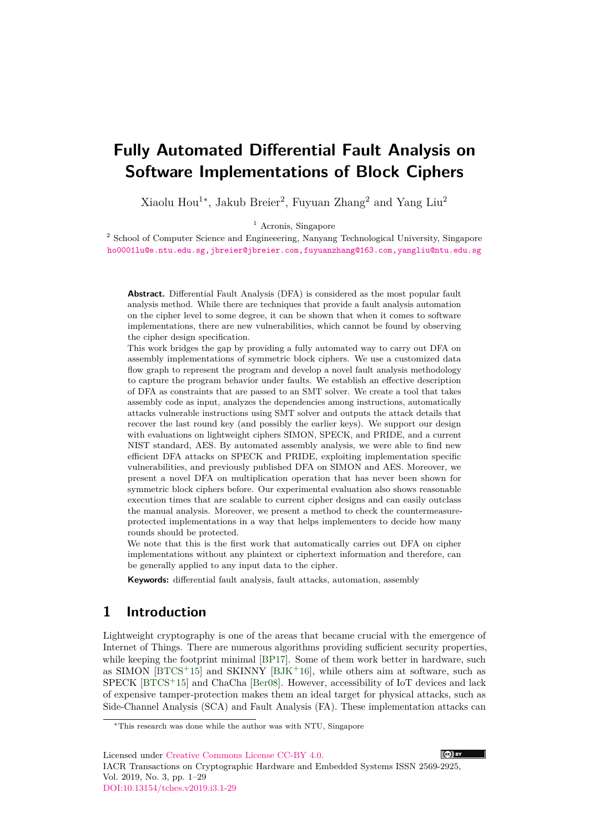# **Fully Automated Differential Fault Analysis on Software Implementations of Block Ciphers**

Xiaolu Hou<sup>1</sup><sup>\*</sup>, Jakub Breier<sup>2</sup>, Fuyuan Zhang<sup>2</sup> and Yang Liu<sup>2</sup>

<sup>1</sup> Acronis, Singapore

<sup>2</sup> School of Computer Science and Engineeering, Nanyang Technological University, Singapore [ho0001lu@e.ntu.edu.sg,jbreier@jbreier.com,fuyuanzhang@163.com,yangliu@ntu.edu.sg](mailto:ho0001lu@e.ntu.edu.sg, jbreier@jbreier.com, fuyuanzhang@163.com, yangliu@ntu.edu.sg)

**Abstract.** Differential Fault Analysis (DFA) is considered as the most popular fault analysis method. While there are techniques that provide a fault analysis automation on the cipher level to some degree, it can be shown that when it comes to software implementations, there are new vulnerabilities, which cannot be found by observing the cipher design specification.

This work bridges the gap by providing a fully automated way to carry out DFA on assembly implementations of symmetric block ciphers. We use a customized data flow graph to represent the program and develop a novel fault analysis methodology to capture the program behavior under faults. We establish an effective description of DFA as constraints that are passed to an SMT solver. We create a tool that takes assembly code as input, analyzes the dependencies among instructions, automatically attacks vulnerable instructions using SMT solver and outputs the attack details that recover the last round key (and possibly the earlier keys). We support our design with evaluations on lightweight ciphers SIMON, SPECK, and PRIDE, and a current NIST standard, AES. By automated assembly analysis, we were able to find new efficient DFA attacks on SPECK and PRIDE, exploiting implementation specific vulnerabilities, and previously published DFA on SIMON and AES. Moreover, we present a novel DFA on multiplication operation that has never been shown for symmetric block ciphers before. Our experimental evaluation also shows reasonable execution times that are scalable to current cipher designs and can easily outclass the manual analysis. Moreover, we present a method to check the countermeasureprotected implementations in a way that helps implementers to decide how many rounds should be protected.

We note that this is the first work that automatically carries out DFA on cipher implementations without any plaintext or ciphertext information and therefore, can be generally applied to any input data to the cipher.

**Keywords:** differential fault analysis, fault attacks, automation, assembly

# **1 Introduction**

Lightweight cryptography is one of the areas that became crucial with the emergence of Internet of Things. There are numerous algorithms providing sufficient security properties, while keeping the footprint minimal [\[BP17\]](#page-21-0). Some of them work better in hardware, such as SIMON  $[BTCS+15]$  $[BTCS+15]$  and SKINNY  $[BIK+16]$ , while others aim at software, such as SPECK [\[BTCS](#page-21-1)<sup>+</sup>15] and ChaCha [\[Ber08\]](#page-20-0). However, accessibility of IoT devices and lack of expensive tamper-protection makes them an ideal target for physical attacks, such as Side-Channel Analysis (SCA) and Fault Analysis (FA). These implementation attacks can

Licensed under [Creative Commons License CC-BY 4.0.](http://creativecommons.org/licenses/by/4.0/)

IACR Transactions on Cryptographic Hardware and Embedded Systems ISSN 2569-2925, Vol. 2019, No. 3, pp. 1–29 [DOI:10.13154/tches.v2019.i3.1-29](https://doi.org/10.13154/tches.v2019.i3.1-29)



<sup>∗</sup>This research was done while the author was with NTU, Singapore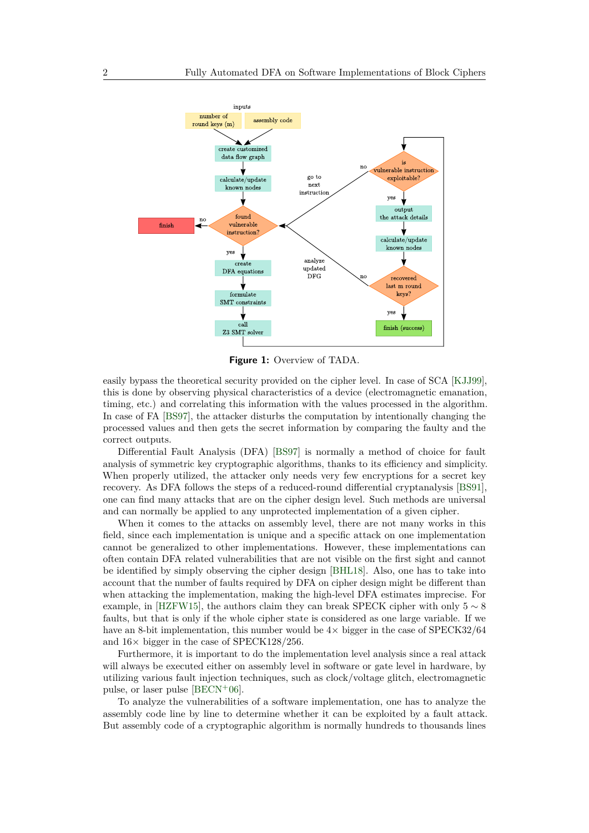<span id="page-1-0"></span>

**Figure 1:** Overview of TADA.

easily bypass the theoretical security provided on the cipher level. In case of SCA [\[KJJ99\]](#page-22-0), this is done by observing physical characteristics of a device (electromagnetic emanation, timing, etc.) and correlating this information with the values processed in the algorithm. In case of FA [\[BS97\]](#page-21-3), the attacker disturbs the computation by intentionally changing the processed values and then gets the secret information by comparing the faulty and the correct outputs.

Differential Fault Analysis (DFA) [\[BS97\]](#page-21-3) is normally a method of choice for fault analysis of symmetric key cryptographic algorithms, thanks to its efficiency and simplicity. When properly utilized, the attacker only needs very few encryptions for a secret key recovery. As DFA follows the steps of a reduced-round differential cryptanalysis [\[BS91\]](#page-21-4), one can find many attacks that are on the cipher design level. Such methods are universal and can normally be applied to any unprotected implementation of a given cipher.

When it comes to the attacks on assembly level, there are not many works in this field, since each implementation is unique and a specific attack on one implementation cannot be generalized to other implementations. However, these implementations can often contain DFA related vulnerabilities that are not visible on the first sight and cannot be identified by simply observing the cipher design [\[BHL18\]](#page-20-1). Also, one has to take into account that the number of faults required by DFA on cipher design might be different than when attacking the implementation, making the high-level DFA estimates imprecise. For example, in [\[HZFW15\]](#page-22-1), the authors claim they can break SPECK cipher with only  $5 \sim 8$ faults, but that is only if the whole cipher state is considered as one large variable. If we have an 8-bit implementation, this number would be  $4\times$  bigger in the case of SPECK32/64 and  $16\times$  bigger in the case of SPECK128/256.

Furthermore, it is important to do the implementation level analysis since a real attack will always be executed either on assembly level in software or gate level in hardware, by utilizing various fault injection techniques, such as clock/voltage glitch, electromagnetic pulse, or laser pulse  $[BECN<sup>+</sup>06]$  $[BECN<sup>+</sup>06]$ .

To analyze the vulnerabilities of a software implementation, one has to analyze the assembly code line by line to determine whether it can be exploited by a fault attack. But assembly code of a cryptographic algorithm is normally hundreds to thousands lines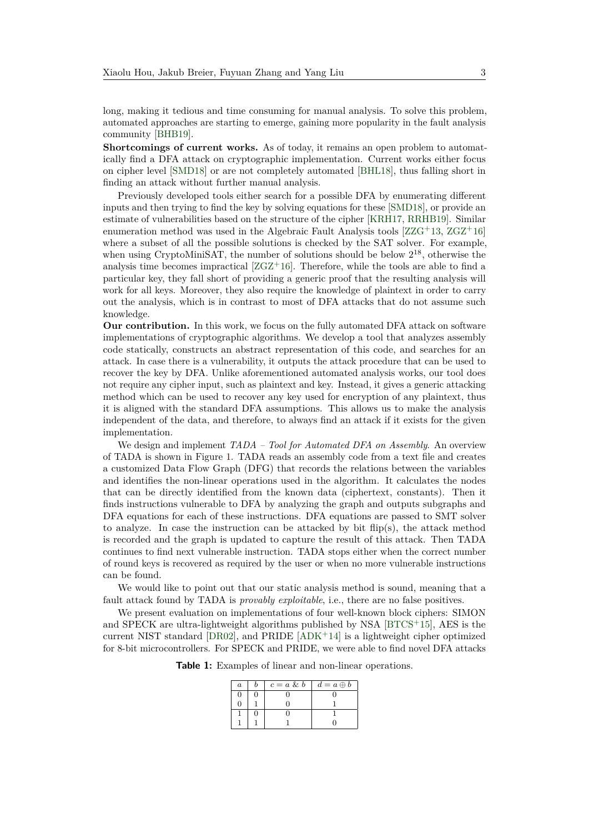long, making it tedious and time consuming for manual analysis. To solve this problem, automated approaches are starting to emerge, gaining more popularity in the fault analysis community [\[BHB19\]](#page-20-3).

**Shortcomings of current works.** As of today, it remains an open problem to automatically find a DFA attack on cryptographic implementation. Current works either focus on cipher level [\[SMD18\]](#page-23-0) or are not completely automated [\[BHL18\]](#page-20-1), thus falling short in finding an attack without further manual analysis.

Previously developed tools either search for a possible DFA by enumerating different inputs and then trying to find the key by solving equations for these [\[SMD18\]](#page-23-0), or provide an estimate of vulnerabilities based on the structure of the cipher [\[KRH17,](#page-22-2) [RRHB19\]](#page-23-1). Similar enumeration method was used in the Algebraic Fault Analysis tools  $[ZZG+13, ZGZ+16]$  $[ZZG+13, ZGZ+16]$  $[ZZG+13, ZGZ+16]$  $[ZZG+13, ZGZ+16]$ where a subset of all the possible solutions is checked by the SAT solver. For example, when using CryptoMiniSAT, the number of solutions should be below  $2^{18}$ , otherwise the analysis time becomes impractical  $[ZGZ^+16]$  $[ZGZ^+16]$ . Therefore, while the tools are able to find a particular key, they fall short of providing a generic proof that the resulting analysis will work for all keys. Moreover, they also require the knowledge of plaintext in order to carry out the analysis, which is in contrast to most of DFA attacks that do not assume such knowledge.

**Our contribution.** In this work, we focus on the fully automated DFA attack on software implementations of cryptographic algorithms. We develop a tool that analyzes assembly code statically, constructs an abstract representation of this code, and searches for an attack. In case there is a vulnerability, it outputs the attack procedure that can be used to recover the key by DFA. Unlike aforementioned automated analysis works, our tool does not require any cipher input, such as plaintext and key. Instead, it gives a generic attacking method which can be used to recover any key used for encryption of any plaintext, thus it is aligned with the standard DFA assumptions. This allows us to make the analysis independent of the data, and therefore, to always find an attack if it exists for the given implementation.

We design and implement *TADA – Tool for Automated DFA on Assembly*. An overview of TADA is shown in Figure [1.](#page-1-0) TADA reads an assembly code from a text file and creates a customized Data Flow Graph (DFG) that records the relations between the variables and identifies the non-linear operations used in the algorithm. It calculates the nodes that can be directly identified from the known data (ciphertext, constants). Then it finds instructions vulnerable to DFA by analyzing the graph and outputs subgraphs and DFA equations for each of these instructions. DFA equations are passed to SMT solver to analyze. In case the instruction can be attacked by bit  $f\text{lip}(s)$ , the attack method is recorded and the graph is updated to capture the result of this attack. Then TADA continues to find next vulnerable instruction. TADA stops either when the correct number of round keys is recovered as required by the user or when no more vulnerable instructions can be found.

We would like to point out that our static analysis method is sound, meaning that a fault attack found by TADA is *provably exploitable*, i.e., there are no false positives.

<span id="page-2-0"></span>We present evaluation on implementations of four well-known block ciphers: SIMON and SPECK are ultra-lightweight algorithms published by NSA [\[BTCS](#page-21-1)<sup>+</sup>15], AES is the current NIST standard  $[DR02]$ , and PRIDE  $[ADK^+14]$  $[ADK^+14]$  is a lightweight cipher optimized for 8-bit microcontrollers. For SPECK and PRIDE, we were able to find novel DFA attacks

**Table 1:** Examples of linear and non-linear operations.

| $\boldsymbol{a}$ | $c = a \& b$ | $d = a \oplus b$ |
|------------------|--------------|------------------|
|                  |              |                  |
|                  |              |                  |
|                  |              |                  |
|                  |              |                  |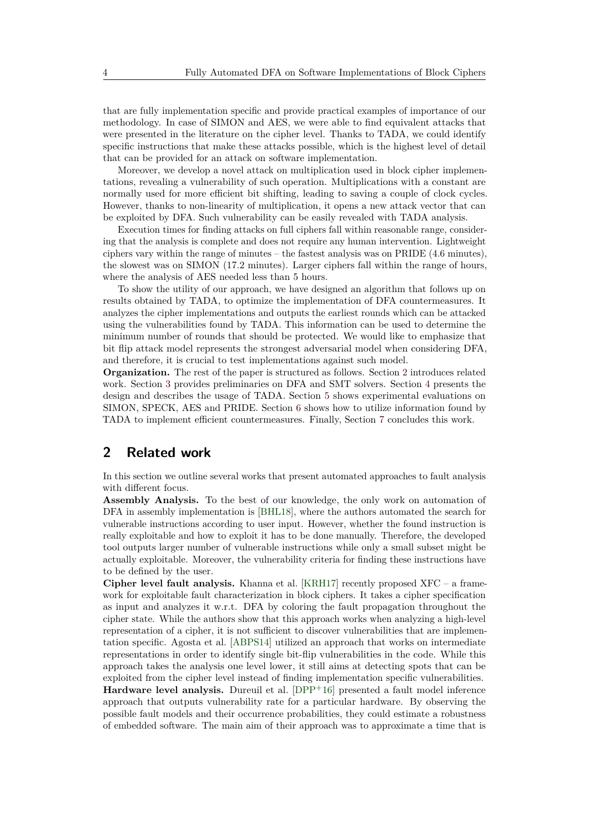that are fully implementation specific and provide practical examples of importance of our methodology. In case of SIMON and AES, we were able to find equivalent attacks that were presented in the literature on the cipher level. Thanks to TADA, we could identify specific instructions that make these attacks possible, which is the highest level of detail that can be provided for an attack on software implementation.

Moreover, we develop a novel attack on multiplication used in block cipher implementations, revealing a vulnerability of such operation. Multiplications with a constant are normally used for more efficient bit shifting, leading to saving a couple of clock cycles. However, thanks to non-linearity of multiplication, it opens a new attack vector that can be exploited by DFA. Such vulnerability can be easily revealed with TADA analysis.

Execution times for finding attacks on full ciphers fall within reasonable range, considering that the analysis is complete and does not require any human intervention. Lightweight ciphers vary within the range of minutes – the fastest analysis was on PRIDE (4.6 minutes), the slowest was on SIMON (17.2 minutes). Larger ciphers fall within the range of hours, where the analysis of AES needed less than 5 hours.

To show the utility of our approach, we have designed an algorithm that follows up on results obtained by TADA, to optimize the implementation of DFA countermeasures. It analyzes the cipher implementations and outputs the earliest rounds which can be attacked using the vulnerabilities found by TADA. This information can be used to determine the minimum number of rounds that should be protected. We would like to emphasize that bit flip attack model represents the strongest adversarial model when considering DFA, and therefore, it is crucial to test implementations against such model.

**Organization.** The rest of the paper is structured as follows. Section [2](#page-3-0) introduces related work. Section [3](#page-4-0) provides preliminaries on DFA and SMT solvers. Section [4](#page-5-0) presents the design and describes the usage of TADA. Section [5](#page-16-0) shows experimental evaluations on SIMON, SPECK, AES and PRIDE. Section [6](#page-18-0) shows how to utilize information found by TADA to implement efficient countermeasures. Finally, Section [7](#page-19-0) concludes this work.

# <span id="page-3-0"></span>**2 Related work**

In this section we outline several works that present automated approaches to fault analysis with different focus.

**Assembly Analysis.** To the best of our knowledge, the only work on automation of DFA in assembly implementation is [\[BHL18\]](#page-20-1), where the authors automated the search for vulnerable instructions according to user input. However, whether the found instruction is really exploitable and how to exploit it has to be done manually. Therefore, the developed tool outputs larger number of vulnerable instructions while only a small subset might be actually exploitable. Moreover, the vulnerability criteria for finding these instructions have to be defined by the user.

**Cipher level fault analysis.** Khanna et al. [\[KRH17\]](#page-22-2) recently proposed XFC – a framework for exploitable fault characterization in block ciphers. It takes a cipher specification as input and analyzes it w.r.t. DFA by coloring the fault propagation throughout the cipher state. While the authors show that this approach works when analyzing a high-level representation of a cipher, it is not sufficient to discover vulnerabilities that are implementation specific. Agosta et al. [\[ABPS14\]](#page-20-5) utilized an approach that works on intermediate representations in order to identify single bit-flip vulnerabilities in the code. While this approach takes the analysis one level lower, it still aims at detecting spots that can be exploited from the cipher level instead of finding implementation specific vulnerabilities. **Hardware level analysis.** Dureuil et al. [\[DPP](#page-21-5)<sup>+</sup>16] presented a fault model inference approach that outputs vulnerability rate for a particular hardware. By observing the possible fault models and their occurrence probabilities, they could estimate a robustness of embedded software. The main aim of their approach was to approximate a time that is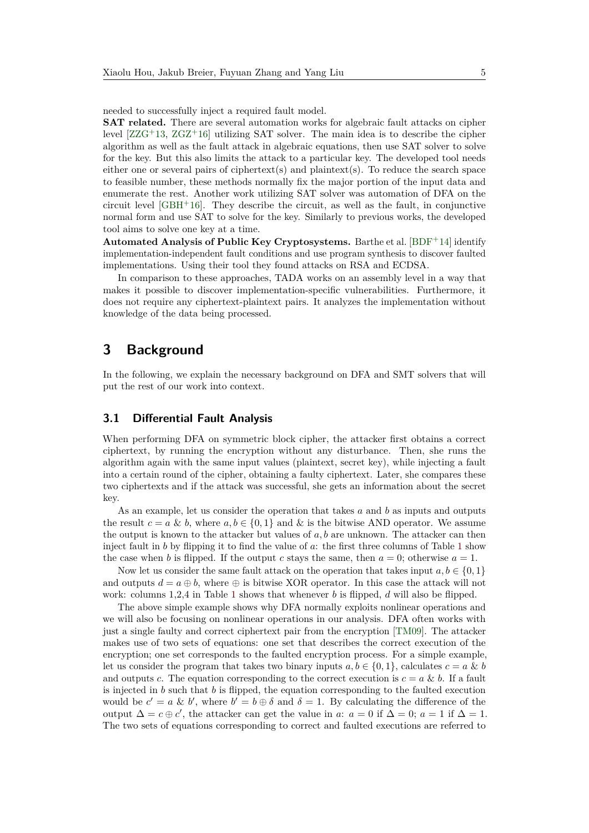needed to successfully inject a required fault model.

**SAT related.** There are several automation works for algebraic fault attacks on cipher level  $[ZZG<sup>+</sup>13, ZGZ<sup>+</sup>16]$  $[ZZG<sup>+</sup>13, ZGZ<sup>+</sup>16]$  $[ZZG<sup>+</sup>13, ZGZ<sup>+</sup>16]$  $[ZZG<sup>+</sup>13, ZGZ<sup>+</sup>16]$  utilizing SAT solver. The main idea is to describe the cipher algorithm as well as the fault attack in algebraic equations, then use SAT solver to solve for the key. But this also limits the attack to a particular key. The developed tool needs either one or several pairs of ciphertext(s) and plaintext(s). To reduce the search space to feasible number, these methods normally fix the major portion of the input data and enumerate the rest. Another work utilizing SAT solver was automation of DFA on the circuit level  $[GBH<sup>+</sup>16]$  $[GBH<sup>+</sup>16]$ . They describe the circuit, as well as the fault, in conjunctive normal form and use SAT to solve for the key. Similarly to previous works, the developed tool aims to solve one key at a time.

**Automated Analysis of Public Key Cryptosystems.** Barthe et al. [\[BDF](#page-20-6)<sup>+</sup>14] identify implementation-independent fault conditions and use program synthesis to discover faulted implementations. Using their tool they found attacks on RSA and ECDSA.

In comparison to these approaches, TADA works on an assembly level in a way that makes it possible to discover implementation-specific vulnerabilities. Furthermore, it does not require any ciphertext-plaintext pairs. It analyzes the implementation without knowledge of the data being processed.

### <span id="page-4-0"></span>**3 Background**

In the following, we explain the necessary background on DFA and SMT solvers that will put the rest of our work into context.

#### <span id="page-4-1"></span>**3.1 Differential Fault Analysis**

When performing DFA on symmetric block cipher, the attacker first obtains a correct ciphertext, by running the encryption without any disturbance. Then, she runs the algorithm again with the same input values (plaintext, secret key), while injecting a fault into a certain round of the cipher, obtaining a faulty ciphertext. Later, she compares these two ciphertexts and if the attack was successful, she gets an information about the secret key.

As an example, let us consider the operation that takes *a* and *b* as inputs and outputs the result  $c = a \& b$ , where  $a, b \in \{0, 1\}$  and  $\&$  is the bitwise AND operator. We assume the output is known to the attacker but values of *a, b* are unknown. The attacker can then inject fault in *b* by flipping it to find the value of *a*: the first three columns of Table [1](#page-2-0) show the case when *b* is flipped. If the output *c* stays the same, then  $a = 0$ ; otherwise  $a = 1$ .

Now let us consider the same fault attack on the operation that takes input  $a, b \in \{0, 1\}$ and outputs  $d = a \oplus b$ , where  $\oplus$  is bitwise XOR operator. In this case the attack will not work: columns 1,2,4 in Table [1](#page-2-0) shows that whenever *b* is flipped, *d* will also be flipped.

The above simple example shows why DFA normally exploits nonlinear operations and we will also be focusing on nonlinear operations in our analysis. DFA often works with just a single faulty and correct ciphertext pair from the encryption [\[TM09\]](#page-24-2). The attacker makes use of two sets of equations: one set that describes the correct execution of the encryption; one set corresponds to the faulted encryption process. For a simple example, let us consider the program that takes two binary inputs  $a, b \in \{0, 1\}$ , calculates  $c = a \& b$ and outputs *c*. The equation corresponding to the correct execution is  $c = a \& b$ . If a fault is injected in *b* such that *b* is flipped, the equation corresponding to the faulted execution would be  $c' = a \& b'$ , where  $b' = b \oplus \delta$  and  $\delta = 1$ . By calculating the difference of the output  $\Delta = c \oplus c'$ , the attacker can get the value in *a*:  $a = 0$  if  $\Delta = 0$ ;  $a = 1$  if  $\Delta = 1$ . The two sets of equations corresponding to correct and faulted executions are referred to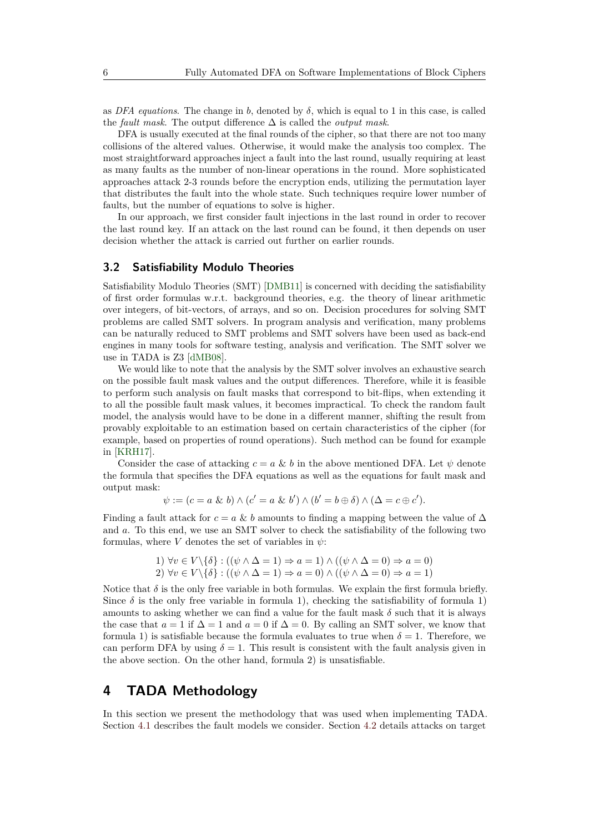as *DFA equations*. The change in *b*, denoted by  $\delta$ , which is equal to 1 in this case, is called the *fault mask*. The output difference ∆ is called the *output mask*.

DFA is usually executed at the final rounds of the cipher, so that there are not too many collisions of the altered values. Otherwise, it would make the analysis too complex. The most straightforward approaches inject a fault into the last round, usually requiring at least as many faults as the number of non-linear operations in the round. More sophisticated approaches attack 2-3 rounds before the encryption ends, utilizing the permutation layer that distributes the fault into the whole state. Such techniques require lower number of faults, but the number of equations to solve is higher.

In our approach, we first consider fault injections in the last round in order to recover the last round key. If an attack on the last round can be found, it then depends on user decision whether the attack is carried out further on earlier rounds.

#### **3.2 Satisfiability Modulo Theories**

Satisfiability Modulo Theories (SMT) [\[DMB11\]](#page-21-6) is concerned with deciding the satisfiability of first order formulas w.r.t. background theories, e.g. the theory of linear arithmetic over integers, of bit-vectors, of arrays, and so on. Decision procedures for solving SMT problems are called SMT solvers. In program analysis and verification, many problems can be naturally reduced to SMT problems and SMT solvers have been used as back-end engines in many tools for software testing, analysis and verification. The SMT solver we use in TADA is Z3 [\[dMB08\]](#page-21-7).

We would like to note that the analysis by the SMT solver involves an exhaustive search on the possible fault mask values and the output differences. Therefore, while it is feasible to perform such analysis on fault masks that correspond to bit-flips, when extending it to all the possible fault mask values, it becomes impractical. To check the random fault model, the analysis would have to be done in a different manner, shifting the result from provably exploitable to an estimation based on certain characteristics of the cipher (for example, based on properties of round operations). Such method can be found for example in [\[KRH17\]](#page-22-2).

Consider the case of attacking  $c = a \& b$  in the above mentioned DFA. Let  $\psi$  denote the formula that specifies the DFA equations as well as the equations for fault mask and output mask:

$$
\psi := (c = a \& b) \wedge (c' = a \& b') \wedge (b' = b \oplus \delta) \wedge (\Delta = c \oplus c').
$$

Finding a fault attack for  $c = a \& b$  amounts to finding a mapping between the value of  $\Delta$ and *a*. To this end, we use an SMT solver to check the satisfiability of the following two formulas, where *V* denotes the set of variables in  $\psi$ :

1) 
$$
\forall v \in V \setminus \{\delta\} : ((\psi \land \Delta = 1) \Rightarrow a = 1) \land ((\psi \land \Delta = 0) \Rightarrow a = 0)
$$
  
2)  $\forall v \in V \setminus \{\delta\} : ((\psi \land \Delta = 1) \Rightarrow a = 0) \land ((\psi \land \Delta = 0) \Rightarrow a = 1)$ 

Notice that  $\delta$  is the only free variable in both formulas. We explain the first formula briefly. Since  $\delta$  is the only free variable in formula 1), checking the satisfiability of formula 1) amounts to asking whether we can find a value for the fault mask  $\delta$  such that it is always the case that  $a = 1$  if  $\Delta = 1$  and  $a = 0$  if  $\Delta = 0$ . By calling an SMT solver, we know that formula 1) is satisfiable because the formula evaluates to true when  $\delta = 1$ . Therefore, we can perform DFA by using  $\delta = 1$ . This result is consistent with the fault analysis given in the above section. On the other hand, formula 2) is unsatisfiable.

### <span id="page-5-0"></span>**4 TADA Methodology**

In this section we present the methodology that was used when implementing TADA. Section [4.1](#page-6-0) describes the fault models we consider. Section [4.2](#page-6-1) details attacks on target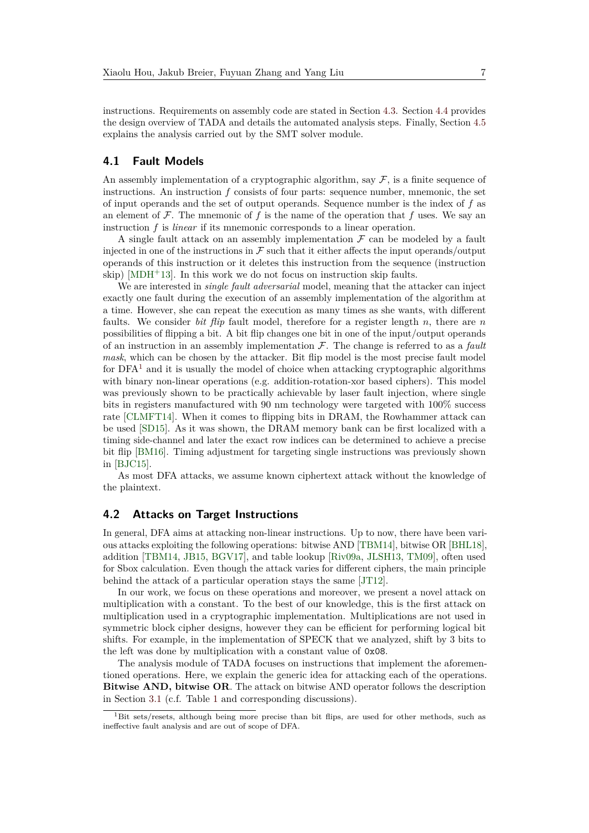instructions. Requirements on assembly code are stated in Section [4.3.](#page-8-0) Section [4.4](#page-9-0) provides the design overview of TADA and details the automated analysis steps. Finally, Section [4.5](#page-13-0) explains the analysis carried out by the SMT solver module.

#### <span id="page-6-0"></span>**4.1 Fault Models**

An assembly implementation of a cryptographic algorithm, say  $\mathcal F$ , is a finite sequence of instructions. An instruction *f* consists of four parts: sequence number, mnemonic, the set of input operands and the set of output operands. Sequence number is the index of *f* as an element of  $\mathcal F$ . The mnemonic of  $f$  is the name of the operation that  $f$  uses. We say an instruction *f* is *linear* if its mnemonic corresponds to a linear operation.

A single fault attack on an assembly implementation  $\mathcal F$  can be modeled by a fault injected in one of the instructions in  $\mathcal F$  such that it either affects the input operands/output operands of this instruction or it deletes this instruction from the sequence (instruction skip)  $[MDH<sup>+</sup>13]$  $[MDH<sup>+</sup>13]$ . In this work we do not focus on instruction skip faults.

We are interested in *single fault adversarial* model, meaning that the attacker can inject exactly one fault during the execution of an assembly implementation of the algorithm at a time. However, she can repeat the execution as many times as she wants, with different faults. We consider *bit flip* fault model, therefore for a register length *n*, there are *n* possibilities of flipping a bit. A bit flip changes one bit in one of the input/output operands of an instruction in an assembly implementation  $\mathcal F$ . The change is referred to as a *fault mask*, which can be chosen by the attacker. Bit flip model is the most precise fault model for  $DFA<sup>1</sup>$  $DFA<sup>1</sup>$  $DFA<sup>1</sup>$  and it is usually the model of choice when attacking cryptographic algorithms with binary non-linear operations (e.g. addition-rotation-xor based ciphers). This model was previously shown to be practically achievable by laser fault injection, where single bits in registers manufactured with 90 nm technology were targeted with 100% success rate [\[CLMFT14\]](#page-21-8). When it comes to flipping bits in DRAM, the Rowhammer attack can be used [\[SD15\]](#page-23-3). As it was shown, the DRAM memory bank can be first localized with a timing side-channel and later the exact row indices can be determined to achieve a precise bit flip [\[BM16\]](#page-21-9). Timing adjustment for targeting single instructions was previously shown in [\[BJC15\]](#page-21-10).

As most DFA attacks, we assume known ciphertext attack without the knowledge of the plaintext.

#### <span id="page-6-1"></span>**4.2 Attacks on Target Instructions**

In general, DFA aims at attacking non-linear instructions. Up to now, there have been various attacks exploiting the following operations: bitwise AND [\[TBM14\]](#page-23-4), bitwise OR [\[BHL18\]](#page-20-1), addition [\[TBM14,](#page-23-4) [JB15,](#page-22-5) [BGV17\]](#page-20-7), and table lookup [\[Riv09a,](#page-23-5) [JLSH13,](#page-22-6) [TM09\]](#page-24-2), often used for Sbox calculation. Even though the attack varies for different ciphers, the main principle behind the attack of a particular operation stays the same [\[JT12\]](#page-22-7).

In our work, we focus on these operations and moreover, we present a novel attack on multiplication with a constant. To the best of our knowledge, this is the first attack on multiplication used in a cryptographic implementation. Multiplications are not used in symmetric block cipher designs, however they can be efficient for performing logical bit shifts. For example, in the implementation of SPECK that we analyzed, shift by 3 bits to the left was done by multiplication with a constant value of 0x08.

The analysis module of TADA focuses on instructions that implement the aforementioned operations. Here, we explain the generic idea for attacking each of the operations. **Bitwise AND, bitwise OR**. The attack on bitwise AND operator follows the description in Section [3.1](#page-4-1) (c.f. Table [1](#page-2-0) and corresponding discussions).

<span id="page-6-2"></span><sup>&</sup>lt;sup>1</sup>Bit sets/resets, although being more precise than bit flips, are used for other methods, such as ineffective fault analysis and are out of scope of DFA.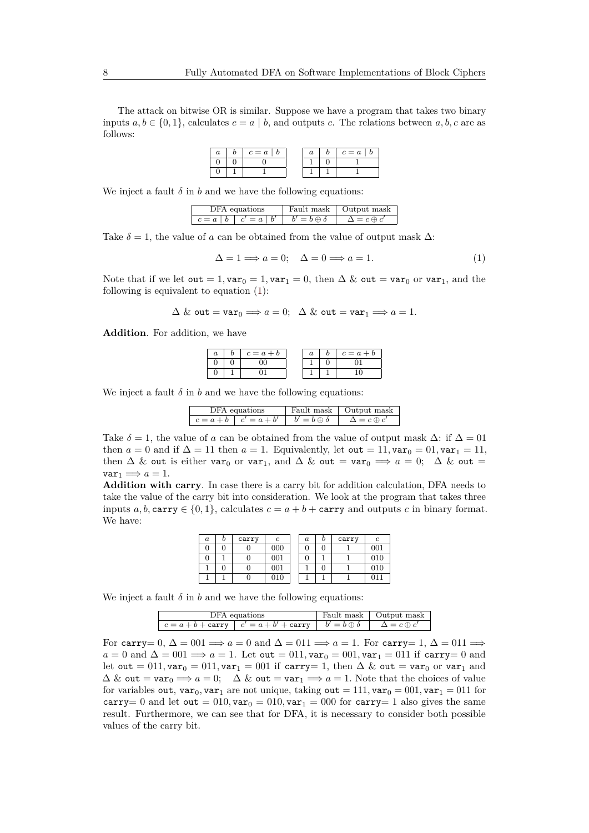The attack on bitwise OR is similar. Suppose we have a program that takes two binary inputs  $a, b \in \{0, 1\}$ , calculates  $c = a \mid b$ , and outputs *c*. The relations between  $a, b, c$  are as follows:

|  | $c = a$ |  | $c = a$ |
|--|---------|--|---------|
|  |         |  |         |
|  |         |  |         |

We inject a fault  $\delta$  in  $b$  and we have the following equations:

| DFA equations             |                     | Fault mask   Output mask |
|---------------------------|---------------------|--------------------------|
| $c = a   b   c' = a   b'$ | $b'=b\oplus \delta$ | $\Lambda = c \oplus c$   |

Take  $\delta = 1$ , the value of *a* can be obtained from the value of output mask  $\Delta$ :

<span id="page-7-0"></span>
$$
\Delta = 1 \Longrightarrow a = 0; \quad \Delta = 0 \Longrightarrow a = 1. \tag{1}
$$

Note that if we let out = 1, var<sub>0</sub> = 1, var<sub>1</sub> = 0, then  $\Delta \&$  out = var<sub>0</sub> or var<sub>1</sub>, and the following is equivalent to equation [\(1\)](#page-7-0):

$$
\Delta \&\ \mathtt{out}=\mathtt{var}_0\Longrightarrow a=0;\ \ \Delta \&\ \mathtt{out}=\mathtt{var}_1\Longrightarrow a=1.
$$

**Addition**. For addition, we have

| $\it a$ | $c = a + b$ | u | $c = a + b$ |
|---------|-------------|---|-------------|
|         |             |   |             |
| υ       |             |   |             |

We inject a fault  $\delta$  in  $b$  and we have the following equations:

| DFA equations |  |  |                                                        | Fault mask   Output mask |
|---------------|--|--|--------------------------------------------------------|--------------------------|
|               |  |  | $c = a + b \mid c' = a + b' \mid b' = b \oplus \delta$ | $\Delta = c \oplus c'$   |

Take  $\delta = 1$ , the value of *a* can be obtained from the value of output mask  $\Delta$ : if  $\Delta = 01$ then  $a = 0$  and if  $\Delta = 11$  then  $a = 1$ . Equivalently, let out = 11, var<sub>0</sub> = 01, var<sub>1</sub> = 11, then  $\Delta$  & out is either var<sub>0</sub> or var<sub>1</sub>, and  $\Delta$  & out = var<sub>0</sub>  $\implies$  *a* = 0;  $\Delta$  & out =  $var_1 \Longrightarrow a = 1.$ 

**Addition with carry**. In case there is a carry bit for addition calculation, DFA needs to take the value of the carry bit into consideration. We look at the program that takes three inputs *a, b,* carry  $\in \{0, 1\}$ , calculates  $c = a + b +$  carry and outputs *c* in binary format. We have:

| $\boldsymbol{a}$ | carry |     | a | carry |     |
|------------------|-------|-----|---|-------|-----|
|                  |       | 000 |   |       | 001 |
|                  |       | 001 |   |       | 010 |
|                  |       | 001 |   |       | 010 |
|                  |       | 010 |   |       |     |

We inject a fault  $\delta$  in  $b$  and we have the following equations:

| DFA equations                                                                                         | Fault mask   Output mask |
|-------------------------------------------------------------------------------------------------------|--------------------------|
| $c = a + b + \text{carry}$ $c' = a + b' + \text{carry}$ $b' = b \oplus \delta$ $\Delta = c \oplus c'$ |                          |

For carry=  $0, \Delta = 001 \implies a = 0$  and  $\Delta = 011 \implies a = 1$ . For carry= 1,  $\Delta = 011 \implies a = 0$  $a = 0$  and  $\Delta = 001 \implies a = 1$ . Let out  $= 011$ ,  $var_0 = 001$ ,  $var_1 = 011$  if carry  $= 0$  and let out = 011, var<sub>0</sub> = 011, var<sub>1</sub> = 001 if carry= 1, then  $\Delta \&$  out = var<sub>0</sub> or var<sub>1</sub> and  $\Delta \& \text{out} = \text{var}_0 \Longrightarrow a = 0; \quad \Delta \& \text{out} = \text{var}_1 \Longrightarrow a = 1.$  Note that the choices of value for variables out,  $var_0$ ,  $var_1$  are not unique, taking out = 111,  $var_0 = 001$ ,  $var_1 = 011$  for carry= 0 and let out =  $010$ ,  $var_0 = 010$ ,  $var_1 = 000$  for carry= 1 also gives the same result. Furthermore, we can see that for DFA, it is necessary to consider both possible values of the carry bit.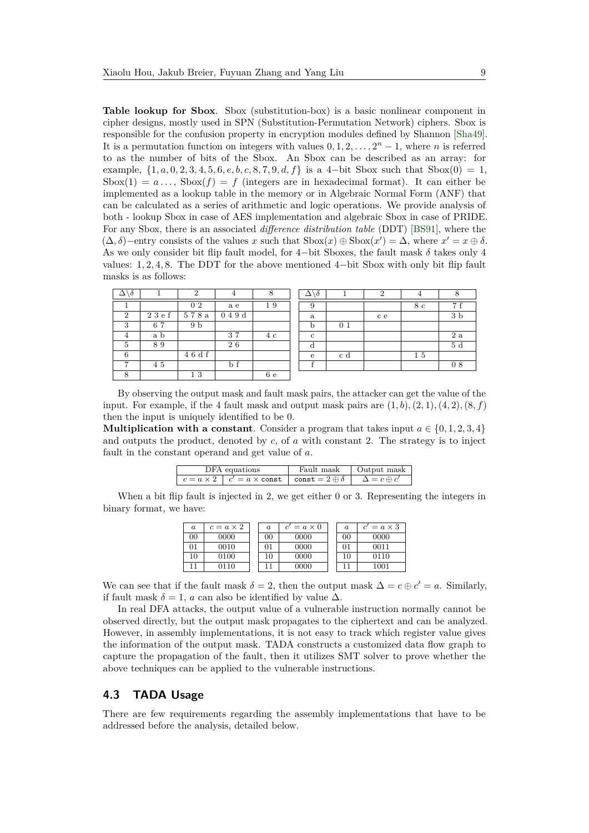**Table lookup for Sbox**. Sbox (substitution-box) is a basic nonlinear component in cipher designs, mostly used in SPN (Substitution-Permutation Network) ciphers. Sbox is responsible for the confusion property in encryption modules defined by Shannon [\[Sha49\]](#page-23-6). It is a permutation function on integers with values  $0, 1, 2, \ldots, 2<sup>n</sup> - 1$ , where *n* is referred to as the number of bits of the Sbox. An Sbox can be described as an array: for example,  $\{1, a, 0, 2, 3, 4, 5, 6, e, b, c, 8, 7, 9, d, f\}$  is a 4-bit Sbox such that  $Sbox(0) = 1$ , Sbox(1) =  $a \dots$ , Sbox(f) = f (integers are in hexadecimal format). It can either be implemented as a lookup table in the memory or in Algebraic Normal Form (ANF) that can be calculated as a series of arithmetic and logic operations. We provide analysis of both - lookup Sbox in case of AES implementation and algebraic Sbox in case of PRIDE. For any Sbox, there is an associated *difference distribution table* (DDT) [\[BS91\]](#page-21-4), where the  $(∆, δ)$ −entry consists of the values *x* such that  $Sbox(x) \oplus Sbox(x') = ∆$ , where  $x' = x \oplus δ$ . As we only consider bit flip fault model, for 4−bit Sboxes, the fault mask *δ* takes only 4 values: 1*,* 2*,* 4*,* 8. The DDT for the above mentioned 4−bit Sbox with only bit flip fault masks is as follows:

| $\delta$       |        | $\overline{2}$ | 4       | $\circ$<br>0 | . Ò |                | $\Omega$ | 4  |                |
|----------------|--------|----------------|---------|--------------|-----|----------------|----------|----|----------------|
|                |        | 0 <sub>2</sub> | a e     | 19           | 9   |                |          | 8с | 7 f            |
| $\overline{2}$ | 23 e f | 578a           | 0 4 9 d |              | a   |                | c e      |    | 3 <sub>b</sub> |
| 3              | 67     | 9 <sub>b</sub> |         |              | b   | 0 <sub>1</sub> |          |    |                |
| 4              | a b    |                | 37      | 4 c          | c   |                |          |    | 2a             |
| 5              | 89     |                | 26      |              | d   |                |          |    | 5d             |
| 6              |        | 4 6 d f        |         |              | e   | c d            |          | 15 |                |
| −              | 45     |                | b f     |              |     |                |          |    | 08             |
| 8              |        | 13             |         | 6e           |     |                |          |    |                |

By observing the output mask and fault mask pairs, the attacker can get the value of the input. For example, if the 4 fault mask and output mask pairs are  $(1, b)$ ,  $(2, 1)$ ,  $(4, 2)$ ,  $(8, f)$ then the input is uniquely identified to be 0.

**Multiplication with a constant**. Consider a program that takes input  $a \in \{0, 1, 2, 3, 4\}$ and outputs the product, denoted by *c*, of *a* with constant 2. The strategy is to inject fault in the constant operand and get value of *a*.

| DFA equations                                                                            | Fault mask   Output mask |
|------------------------------------------------------------------------------------------|--------------------------|
| $ c = a \times 2   c' = a \times const   const = 2 \oplus \delta   \Delta = c \oplus c'$ |                          |

When a bit flip fault is injected in 2, we get either 0 or 3. Representing the integers in binary format, we have:

| $\it a$ | $c = a \times 2$ | $\it a$ | $c' = a \times 0$ | $\boldsymbol{a}$ | $c' = a \times 3$ |
|---------|------------------|---------|-------------------|------------------|-------------------|
| 00      | 0000             | 00      | 0000              | 00               | 0000              |
| 01      | 0010             | 01      | 0000              | 01               | 0011              |
| 10      | 0100             | 10      | 0000              | 10               | 0110              |
|         | 0110             |         | 0000              |                  | 1001              |

We can see that if the fault mask  $\delta = 2$ , then the output mask  $\Delta = c \oplus c' = a$ . Similarly, if fault mask  $\delta = 1$ , *a* can also be identified by value  $\Delta$ .

In real DFA attacks, the output value of a vulnerable instruction normally cannot be observed directly, but the output mask propagates to the ciphertext and can be analyzed. However, in assembly implementations, it is not easy to track which register value gives the information of the output mask. TADA constructs a customized data flow graph to capture the propagation of the fault, then it utilizes SMT solver to prove whether the above techniques can be applied to the vulnerable instructions.

#### <span id="page-8-0"></span>**4.3 TADA Usage**

There are few requirements regarding the assembly implementations that have to be addressed before the analysis, detailed below.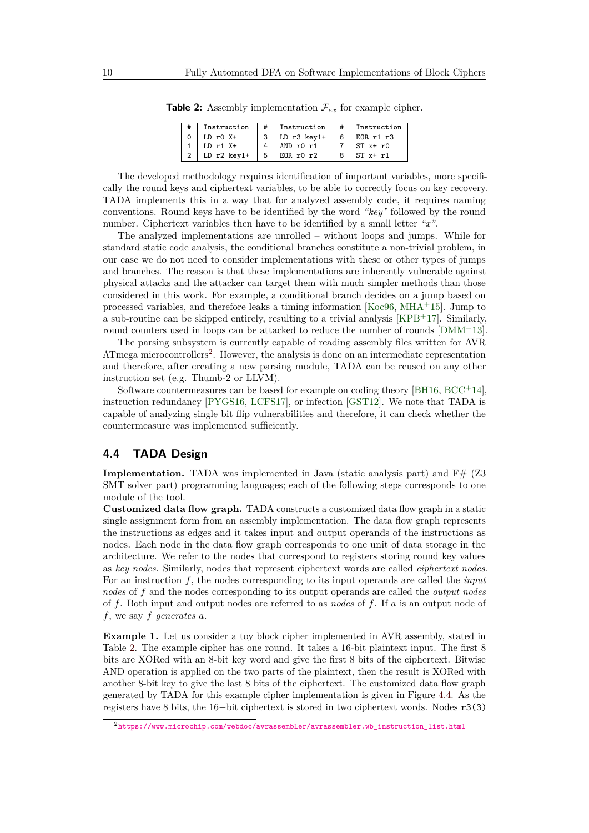| Instruction   | Instruction   |   | Instruction      |
|---------------|---------------|---|------------------|
| $LD r0 X+$    | $LD r3 key1+$ | 6 | FOR r1 r3        |
| $LD r1 X+$    | AND $r0 r1$   |   | $ST x + r0$      |
| $LD r2 key1+$ | EORr0r2       |   | $ST \times + r1$ |

<span id="page-9-2"></span>**Table 2:** Assembly implementation  $\mathcal{F}_{ex}$  for example cipher.

The developed methodology requires identification of important variables, more specifically the round keys and ciphertext variables, to be able to correctly focus on key recovery. TADA implements this in a way that for analyzed assembly code, it requires naming conventions. Round keys have to be identified by the word *"key"* followed by the round number. Ciphertext variables then have to be identified by a small letter *"x"*.

The analyzed implementations are unrolled – without loops and jumps. While for standard static code analysis, the conditional branches constitute a non-trivial problem, in our case we do not need to consider implementations with these or other types of jumps and branches. The reason is that these implementations are inherently vulnerable against physical attacks and the attacker can target them with much simpler methods than those considered in this work. For example, a conditional branch decides on a jump based on processed variables, and therefore leaks a timing information [\[Koc96,](#page-22-8) [MHA](#page-23-7)<sup>+</sup>15]. Jump to a sub-routine can be skipped entirely, resulting to a trivial analysis [\[KPB](#page-22-9)<sup>+</sup>17]. Similarly, round counters used in loops can be attacked to reduce the number of rounds [\[DMM](#page-21-11)+13].

The parsing subsystem is currently capable of reading assembly files written for AVR ATmega microcontrollers<sup>[2](#page-9-1)</sup>. However, the analysis is done on an intermediate representation and therefore, after creating a new parsing module, TADA can be reused on any other instruction set (e.g. Thumb-2 or LLVM).

Software countermeasures can be based for example on coding theory [\[BH16,](#page-20-8)  $BCC<sup>+14</sup>$  $BCC<sup>+14</sup>$ ], instruction redundancy [\[PYGS16,](#page-23-8) [LCFS17\]](#page-23-9), or infection [\[GST12\]](#page-22-10). We note that TADA is capable of analyzing single bit flip vulnerabilities and therefore, it can check whether the countermeasure was implemented sufficiently.

#### <span id="page-9-0"></span>**4.4 TADA Design**

**Implementation.** TADA was implemented in Java (static analysis part) and  $F# (Z3)$ SMT solver part) programming languages; each of the following steps corresponds to one module of the tool.

**Customized data flow graph.** TADA constructs a customized data flow graph in a static single assignment form from an assembly implementation. The data flow graph represents the instructions as edges and it takes input and output operands of the instructions as nodes. Each node in the data flow graph corresponds to one unit of data storage in the architecture. We refer to the nodes that correspond to registers storing round key values as *key nodes*. Similarly, nodes that represent ciphertext words are called *ciphertext nodes*. For an instruction *f*, the nodes corresponding to its input operands are called the *input nodes* of *f* and the nodes corresponding to its output operands are called the *output nodes* of *f*. Both input and output nodes are referred to as *nodes* of *f*. If *a* is an output node of *f*, we say *f generates a*.

**Example 1.** Let us consider a toy block cipher implemented in AVR assembly, stated in Table [2.](#page-9-2) The example cipher has one round. It takes a 16-bit plaintext input. The first 8 bits are XORed with an 8-bit key word and give the first 8 bits of the ciphertext. Bitwise AND operation is applied on the two parts of the plaintext, then the result is XORed with another 8-bit key to give the last 8 bits of the ciphertext. The customized data flow graph generated by TADA for this example cipher implementation is given in Figure [4.4.](#page-10-0) As the registers have 8 bits, the 16−bit ciphertext is stored in two ciphertext words. Nodes r3(3)

<span id="page-9-1"></span><sup>2</sup>[https://www.microchip.com/webdoc/avrassembler/avrassembler.wb\\_instruction\\_list.html](https://www.microchip.com/webdoc/avrassembler/avrassembler.wb_instruction_list.html)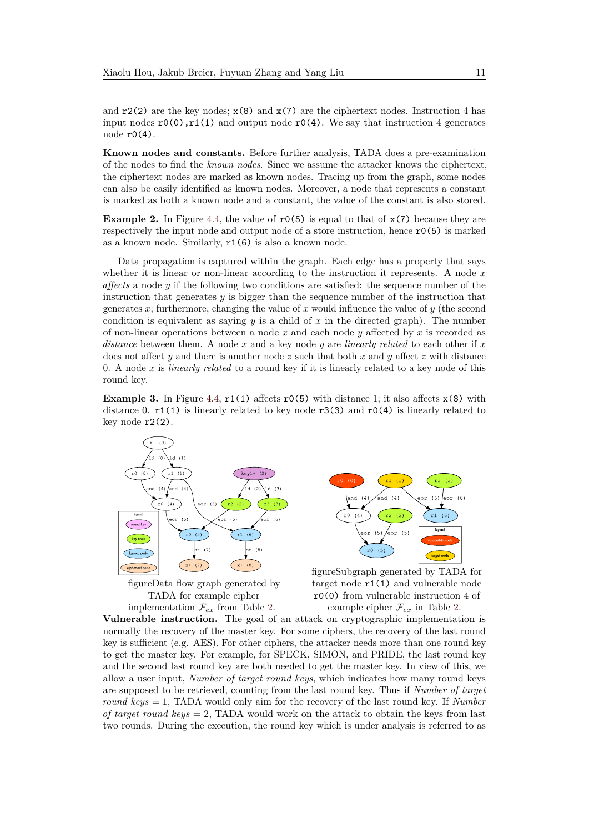and  $r2(2)$  are the key nodes;  $x(8)$  and  $x(7)$  are the ciphertext nodes. Instruction 4 has input nodes  $r0(0)$ ,  $r1(1)$  and output node  $r0(4)$ . We say that instruction 4 generates node r0(4).

**Known nodes and constants.** Before further analysis, TADA does a pre-examination of the nodes to find the *known nodes*. Since we assume the attacker knows the ciphertext, the ciphertext nodes are marked as known nodes. Tracing up from the graph, some nodes can also be easily identified as known nodes. Moreover, a node that represents a constant is marked as both a known node and a constant, the value of the constant is also stored.

**Example 2.** In Figure [4.4,](#page-10-0) the value of  $r(6)$  is equal to that of  $x(7)$  because they are respectively the input node and output node of a store instruction, hence  $r0(5)$  is marked as a known node. Similarly, r1(6) is also a known node.

Data propagation is captured within the graph. Each edge has a property that says whether it is linear or non-linear according to the instruction it represents. A node *x affects* a node *y* if the following two conditions are satisfied: the sequence number of the instruction that generates *y* is bigger than the sequence number of the instruction that generates *x*; furthermore, changing the value of *x* would influence the value of *y* (the second condition is equivalent as saying  $y$  is a child of  $x$  in the directed graph). The number of non-linear operations between a node *x* and each node *y* affected by *x* is recorded as *distance* between them. A node *x* and a key node *y* are *linearly related* to each other if *x* does not affect *y* and there is another node *z* such that both *x* and *y* affect *z* with distance 0. A node *x* is *linearly related* to a round key if it is linearly related to a key node of this round key.

<span id="page-10-0"></span>**Example 3.** In Figure [4.4,](#page-10-0)  $r1(1)$  affects  $r0(5)$  with distance 1; it also affects  $x(8)$  with distance 0.  $r1(1)$  is linearly related to key node  $r3(3)$  and  $r0(4)$  is linearly related to key node  $r2(2)$ .



figureData flow graph generated by TADA for example cipher implementation  $\mathcal{F}_{ex}$  from Table [2.](#page-9-2)



figureSubgraph generated by TADA for target node r1(1) and vulnerable node r0(0) from vulnerable instruction 4 of example cipher  $\mathcal{F}_{ex}$  in Table [2.](#page-9-2)

**Vulnerable instruction.** The goal of an attack on cryptographic implementation is normally the recovery of the master key. For some ciphers, the recovery of the last round key is sufficient (e.g. AES). For other ciphers, the attacker needs more than one round key to get the master key. For example, for SPECK, SIMON, and PRIDE, the last round key and the second last round key are both needed to get the master key. In view of this, we allow a user input, *Number of target round keys*, which indicates how many round keys are supposed to be retrieved, counting from the last round key. Thus if *Number of target round keys* = 1, TADA would only aim for the recovery of the last round key. If *Number of target round keys* = 2, TADA would work on the attack to obtain the keys from last two rounds. During the execution, the round key which is under analysis is referred to as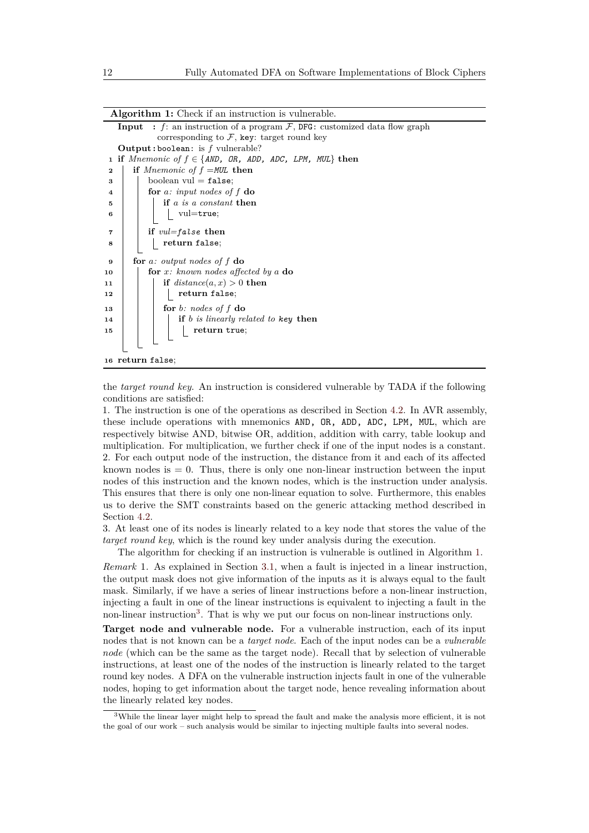| : f: an instruction of a program $\mathcal{F}$ , DFG: customized data flow graph<br>Input |
|-------------------------------------------------------------------------------------------|
| corresponding to $\mathcal{F}$ , key: target round key                                    |
| <b>Output:</b> boolean: is $f$ vulnerable?                                                |
| if <i>Mnemonic of</i> $f \in \{AND, OR, ADD, ADC, LPM, MUL\}$ then<br>$\mathbf{1}$        |
| if <i>Mnemonic of</i> $f = MUL$ then<br>$\mathbf{2}$                                      |
| boolean $vul = false$ ;<br>3                                                              |
| for a: input nodes of $f$ do<br>4                                                         |
| if a is a constant then<br>5                                                              |
| vul=true;<br>6                                                                            |
|                                                                                           |
| if $vul = false$ then<br>7                                                                |
| return false;<br>8                                                                        |
| for a: output nodes of $f$ do<br>9                                                        |
| for $x$ : known nodes affected by a do<br>10                                              |
| if $distance(a, x) > 0$ then<br>11                                                        |
| return false;<br>12                                                                       |
| for b: nodes of $f$ do<br>13                                                              |
| if $b$ is linearly related to key then<br>14                                              |
| return true;<br>15                                                                        |
|                                                                                           |
| 16 return false;                                                                          |

**Algorithm 1:** Check if an instruction is vulnerable.

<span id="page-11-0"></span>the *target round key*. An instruction is considered vulnerable by TADA if the following conditions are satisfied:

1. The instruction is one of the operations as described in Section [4.2.](#page-6-1) In AVR assembly, these include operations with mnemonics AND, OR, ADD, ADC, LPM, MUL, which are respectively bitwise AND, bitwise OR, addition, addition with carry, table lookup and multiplication. For multiplication, we further check if one of the input nodes is a constant. 2. For each output node of the instruction, the distance from it and each of its affected known nodes is  $= 0$ . Thus, there is only one non-linear instruction between the input nodes of this instruction and the known nodes, which is the instruction under analysis. This ensures that there is only one non-linear equation to solve. Furthermore, this enables us to derive the SMT constraints based on the generic attacking method described in Section [4.2.](#page-6-1)

3. At least one of its nodes is linearly related to a key node that stores the value of the *target round key*, which is the round key under analysis during the execution.

The algorithm for checking if an instruction is vulnerable is outlined in Algorithm [1.](#page-11-0)

*Remark* 1*.* As explained in Section [3.1,](#page-4-1) when a fault is injected in a linear instruction, the output mask does not give information of the inputs as it is always equal to the fault mask. Similarly, if we have a series of linear instructions before a non-linear instruction, injecting a fault in one of the linear instructions is equivalent to injecting a fault in the non-linear instruction<sup>[3](#page-11-1)</sup>. That is why we put our focus on non-linear instructions only.

**Target node and vulnerable node.** For a vulnerable instruction, each of its input nodes that is not known can be a *target node*. Each of the input nodes can be a *vulnerable node* (which can be the same as the target node). Recall that by selection of vulnerable instructions, at least one of the nodes of the instruction is linearly related to the target round key nodes. A DFA on the vulnerable instruction injects fault in one of the vulnerable nodes, hoping to get information about the target node, hence revealing information about the linearly related key nodes.

<span id="page-11-1"></span><sup>&</sup>lt;sup>3</sup>While the linear layer might help to spread the fault and make the analysis more efficient, it is not the goal of our work – such analysis would be similar to injecting multiple faults into several nodes.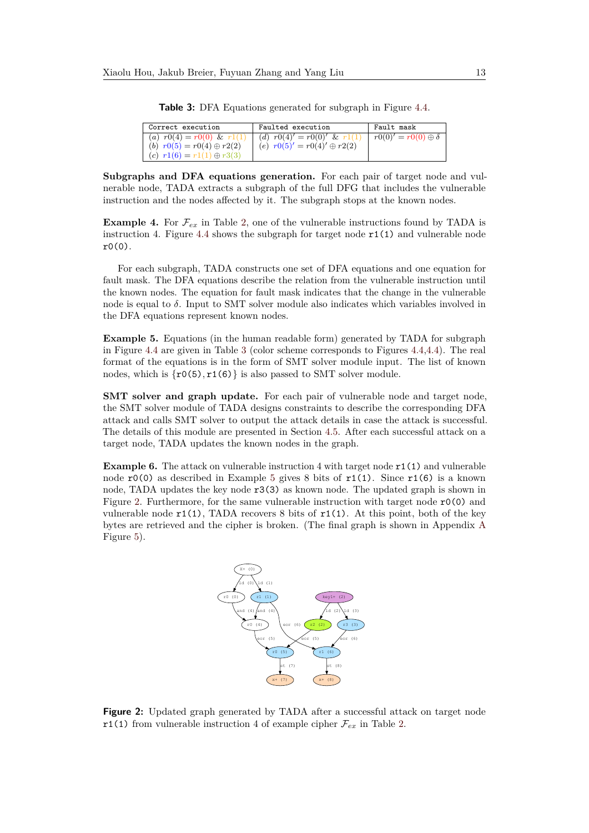<span id="page-12-0"></span>

| Correct execution                                                    | Faulted execution                  | Fault mask                       |
|----------------------------------------------------------------------|------------------------------------|----------------------------------|
| (a) $r0(4) = r0(0) \& r1(1)$                                         | (d) $r0(4)' = r0(0)'$ & $r1(1)$    | $r(0 0)' = r(0 0) \oplus \delta$ |
| (b) $r0(5) = r0(4) \oplus r2(2)$<br>(c) $r1(6) = r1(1) \oplus r3(3)$ | (e) $r0(5)' = r0(4)' \oplus r2(2)$ |                                  |

**Table 3:** DFA Equations generated for subgraph in Figure [4.4.](#page-10-0)

**Subgraphs and DFA equations generation.** For each pair of target node and vulnerable node, TADA extracts a subgraph of the full DFG that includes the vulnerable instruction and the nodes affected by it. The subgraph stops at the known nodes.

**Example 4.** For  $\mathcal{F}_{ex}$  in Table [2,](#page-9-2) one of the vulnerable instructions found by TADA is instruction 4. Figure [4.4](#page-10-0) shows the subgraph for target node  $r1(1)$  and vulnerable node  $r0(0)$ .

For each subgraph, TADA constructs one set of DFA equations and one equation for fault mask. The DFA equations describe the relation from the vulnerable instruction until the known nodes. The equation for fault mask indicates that the change in the vulnerable node is equal to *δ*. Input to SMT solver module also indicates which variables involved in the DFA equations represent known nodes.

<span id="page-12-1"></span>**Example 5.** Equations (in the human readable form) generated by TADA for subgraph in Figure [4.4](#page-10-0) are given in Table [3](#page-12-0) (color scheme corresponds to Figures [4.4,4.4\)](#page-10-0). The real format of the equations is in the form of SMT solver module input. The list of known nodes, which is  $\{r0(5), r1(6)\}\$ is also passed to SMT solver module.

**SMT** solver and graph update. For each pair of vulnerable node and target node, the SMT solver module of TADA designs constraints to describe the corresponding DFA attack and calls SMT solver to output the attack details in case the attack is successful. The details of this module are presented in Section [4.5.](#page-13-0) After each successful attack on a target node, TADA updates the known nodes in the graph.

<span id="page-12-2"></span>**Example 6.** The attack on vulnerable instruction 4 with target node r1(1) and vulnerable node  $r0(0)$  as described in Example [5](#page-12-1) gives 8 bits of  $r1(1)$ . Since  $r1(6)$  is a known node, TADA updates the key node r3(3) as known node. The updated graph is shown in Figure [2.](#page-12-2) Furthermore, for the same vulnerable instruction with target node r0(0) and vulnerable node  $r1(1)$ , TADA recovers 8 bits of  $r1(1)$ . At this point, both of the key bytes are retrieved and the cipher is broken. (The final graph is shown in Appendix [A](#page-24-3) Figure [5\)](#page-25-0).



**Figure 2:** Updated graph generated by TADA after a successful attack on target node r1(1) from vulnerable instruction 4 of example cipher  $\mathcal{F}_{ex}$  in Table [2.](#page-9-2)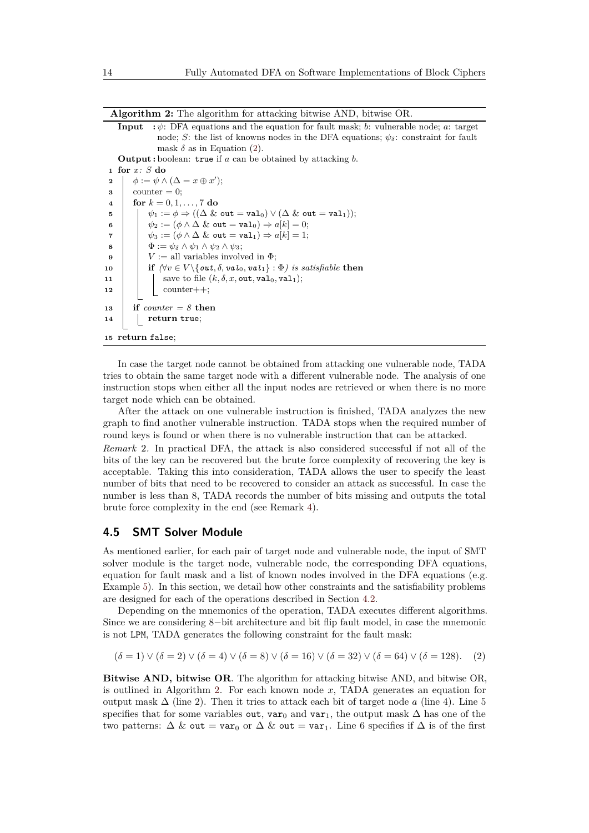**Algorithm 2:** The algorithm for attacking bitwise AND, bitwise OR.

**Input :** *ψ*: DFA equations and the equation for fault mask; *b*: vulnerable node; *a*: target node; *S*: the list of knowns nodes in the DFA equations;  $\psi_{\delta}$ : constraint for fault mask  $\delta$  as in Equation [\(2\)](#page-13-1).

**Output :** boolean: true if *a* can be obtained by attacking *b*. **for** *x: S* **do**  $\phi := \psi \wedge (\Delta = x \oplus x')$ ;  $3 \quad \text{counter} = 0;$  $4 \quad \text{for } k = 0, 1, \ldots, 7 \text{ do}$   $\psi_1 := \phi \Rightarrow ((\Delta \& \text{ out } = \text{val}_0) \vee (\Delta \& \text{ out } = \text{val}_1));$   $\psi_2 := (\phi \land \Delta \& \text{out} = \text{val}_0) \Rightarrow a[k] = 0;$   $\downarrow \psi_3 := (\phi \land \Delta \& \text{ out } = \text{val}_1) \Rightarrow a[k] = 1;$   $\Phi := \psi_{\delta} \wedge \psi_1 \wedge \psi_2 \wedge \psi_3;$   $V :=$  all variables involved in  $\Phi$ ; **if**  $(\forall v \in V \setminus \{out, \delta, val_0, val_1\} : \Phi)$  *is satisfiable* then  $\vert$  save to file  $(k, \delta, x, \text{out}, \text{val}_0, \text{val}_1);$  $\mathbf{12}$  | | counter++; **if** *counter = 8* **then return** true; **return** false;

<span id="page-13-2"></span>In case the target node cannot be obtained from attacking one vulnerable node, TADA tries to obtain the same target node with a different vulnerable node. The analysis of one instruction stops when either all the input nodes are retrieved or when there is no more target node which can be obtained.

After the attack on one vulnerable instruction is finished, TADA analyzes the new graph to find another vulnerable instruction. TADA stops when the required number of round keys is found or when there is no vulnerable instruction that can be attacked.

*Remark* 2*.* In practical DFA, the attack is also considered successful if not all of the bits of the key can be recovered but the brute force complexity of recovering the key is acceptable. Taking this into consideration, TADA allows the user to specify the least number of bits that need to be recovered to consider an attack as successful. In case the number is less than 8, TADA records the number of bits missing and outputs the total brute force complexity in the end (see Remark [4\)](#page-17-0).

#### <span id="page-13-0"></span>**4.5 SMT Solver Module**

As mentioned earlier, for each pair of target node and vulnerable node, the input of SMT solver module is the target node, vulnerable node, the corresponding DFA equations, equation for fault mask and a list of known nodes involved in the DFA equations (e.g. Example [5\)](#page-12-1). In this section, we detail how other constraints and the satisfiability problems are designed for each of the operations described in Section [4.2.](#page-6-1)

Depending on the mnemonics of the operation, TADA executes different algorithms. Since we are considering 8−bit architecture and bit flip fault model, in case the mnemonic is not LPM, TADA generates the following constraint for the fault mask:

<span id="page-13-1"></span>
$$
(\delta = 1) \lor (\delta = 2) \lor (\delta = 4) \lor (\delta = 8) \lor (\delta = 16) \lor (\delta = 32) \lor (\delta = 64) \lor (\delta = 128).
$$
 (2)

**Bitwise AND, bitwise OR**. The algorithm for attacking bitwise AND, and bitwise OR, is outlined in Algorithm [2.](#page-13-2) For each known node *x*, TADA generates an equation for output mask ∆ (line 2). Then it tries to attack each bit of target node *a* (line 4). Line 5 specifies that for some variables out, var<sub>0</sub> and var<sub>1</sub>, the output mask  $\Delta$  has one of the two patterns:  $\Delta \&$  out = var<sub>0</sub> or  $\Delta \&$  out = var<sub>1</sub>. Line 6 specifies if  $\Delta$  is of the first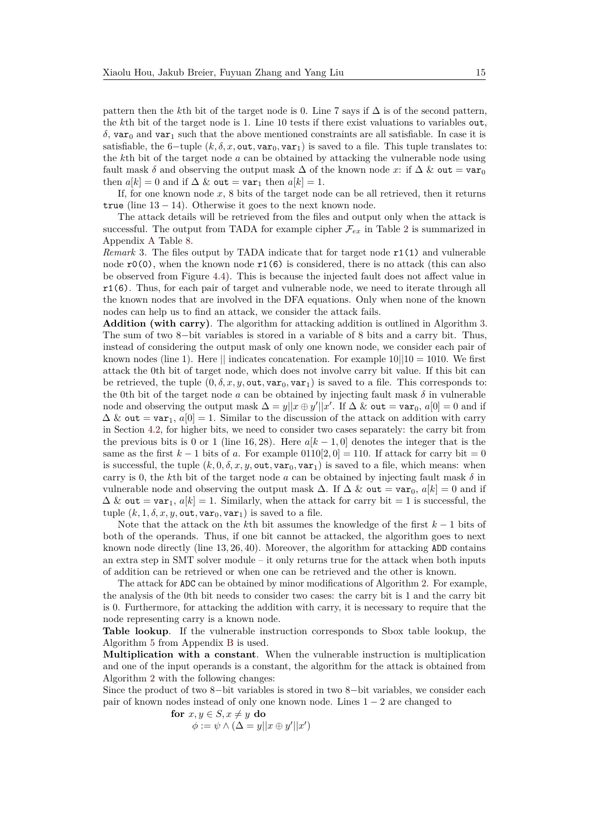pattern then the *k*th bit of the target node is 0. Line 7 says if ∆ is of the second pattern, the *k*th bit of the target node is 1. Line 10 tests if there exist valuations to variables out,  $\delta$ , var<sub>0</sub> and var<sub>1</sub> such that the above mentioned constraints are all satisfiable. In case it is satisfiable, the 6-tuple  $(k, \delta, x, \text{out}, \text{var}_0, \text{var}_1)$  is saved to a file. This tuple translates to: the *k*th bit of the target node *a* can be obtained by attacking the vulnerable node using fault mask  $\delta$  and observing the output mask  $\Delta$  of the known node x: if  $\Delta \&$  out = var<sub>0</sub> then  $a[k] = 0$  and if  $\Delta \&$  out = var<sub>1</sub> then  $a[k] = 1$ .

If, for one known node *x*, 8 bits of the target node can be all retrieved, then it returns true (line  $13 - 14$ ). Otherwise it goes to the next known node.

The attack details will be retrieved from the files and output only when the attack is successful. The output from TADA for example cipher  $\mathcal{F}_{ex}$  in Table [2](#page-9-2) is summarized in Appendix [A](#page-24-3) Table [8.](#page-24-4)

*Remark* 3. The files output by TADA indicate that for target node  $r1(1)$  and vulnerable node  $r0(0)$ , when the known node  $r1(6)$  is considered, there is no attack (this can also be observed from Figure [4.4\)](#page-10-0). This is because the injected fault does not affect value in r1(6). Thus, for each pair of target and vulnerable node, we need to iterate through all the known nodes that are involved in the DFA equations. Only when none of the known nodes can help us to find an attack, we consider the attack fails.

**Addition (with carry)**. The algorithm for attacking addition is outlined in Algorithm [3.](#page-15-0) The sum of two 8−bit variables is stored in a variable of 8 bits and a carry bit. Thus, instead of considering the output mask of only one known node, we consider each pair of known nodes (line 1). Here  $\parallel$  indicates concatenation. For example 10 $\parallel$ 10 = 1010. We first attack the 0th bit of target node, which does not involve carry bit value. If this bit can be retrieved, the tuple  $(0, \delta, x, y, \text{out}, \text{var}_0, \text{var}_1)$  is saved to a file. This corresponds to: the 0th bit of the target node  $a$  can be obtained by injecting fault mask  $\delta$  in vulnerable node and observing the output mask  $\Delta = y||x \oplus y'||x'$ . If  $\Delta \&$  out = var<sub>0</sub>,  $a[0] = 0$  and if  $\Delta \&$  out = var<sub>1</sub>,  $a[0] = 1$ . Similar to the discussion of the attack on addition with carry in Section [4.2,](#page-6-1) for higher bits, we need to consider two cases separately: the carry bit from the previous bits is 0 or 1 (line 16, 28). Here  $a[k-1,0]$  denotes the integer that is the same as the first  $k - 1$  bits of  $a$ . For example  $0110[2, 0] = 110$ . If attack for carry bit = 0 is successful, the tuple  $(k, 0, \delta, x, y, \text{out}, \text{var}_0, \text{var}_1)$  is saved to a file, which means: when carry is 0, the *k*th bit of the target node *a* can be obtained by injecting fault mask  $\delta$  in vulnerable node and observing the output mask  $\Delta$ . If  $\Delta \&$  out = var<sub>0</sub>,  $a[k] = 0$  and if  $\Delta \&$  out = var<sub>1</sub>,  $a[k] = 1$ . Similarly, when the attack for carry bit = 1 is successful, the tuple  $(k, 1, \delta, x, y, \text{out}, \text{var}_0, \text{var}_1)$  is saved to a file.

Note that the attack on the *k*th bit assumes the knowledge of the first *k* − 1 bits of both of the operands. Thus, if one bit cannot be attacked, the algorithm goes to next known node directly (line 13*,* 26*,* 40). Moreover, the algorithm for attacking ADD contains an extra step in SMT solver module  $-$  it only returns true for the attack when both inputs of addition can be retrieved or when one can be retrieved and the other is known.

The attack for ADC can be obtained by minor modifications of Algorithm [2.](#page-13-2) For example, the analysis of the 0th bit needs to consider two cases: the carry bit is 1 and the carry bit is 0. Furthermore, for attacking the addition with carry, it is necessary to require that the node representing carry is a known node.

**Table lookup**. If the vulnerable instruction corresponds to Sbox table lookup, the Algorithm [5](#page-26-0) from Appendix [B](#page-24-5) is used.

**Multiplication with a constant**. When the vulnerable instruction is multiplication and one of the input operands is a constant, the algorithm for the attack is obtained from Algorithm [2](#page-13-2) with the following changes:

Since the product of two 8−bit variables is stored in two 8−bit variables, we consider each pair of known nodes instead of only one known node. Lines  $1 - 2$  are changed to

> **for**  $x, y \in S, x \neq y$  **do**  $\phi := \psi \wedge (\Delta = y||x \oplus y'||x')$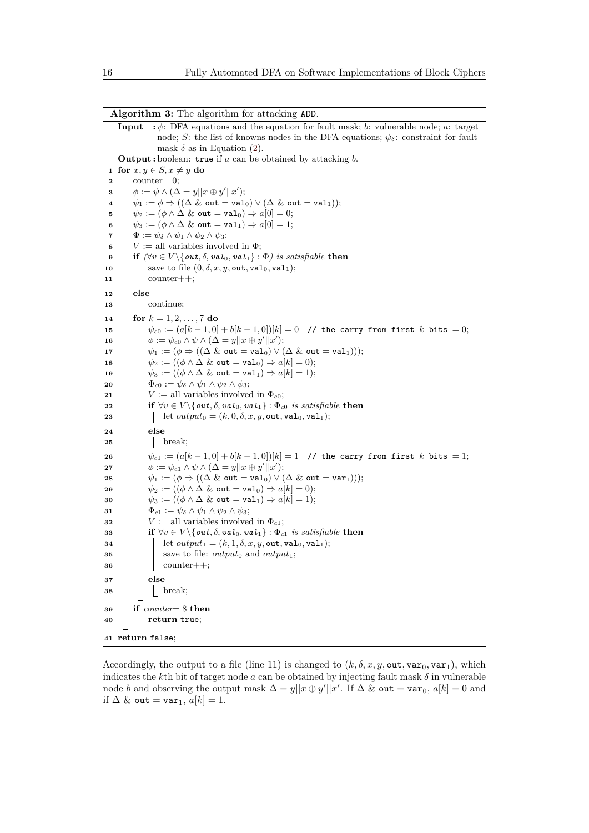**Input :** *ψ*: DFA equations and the equation for fault mask; *b*: vulnerable node; *a*: target node; *S*: the list of knowns nodes in the DFA equations;  $\psi_{\delta}$ : constraint for fault mask  $\delta$  as in Equation [\(2\)](#page-13-1). **Output :** boolean: true if *a* can be obtained by attacking *b*. **for**  $x, y \in S, x \neq y$  **do**  counter= 0;  $\phi := \psi \wedge (\Delta = y||x \oplus y'||x');$   $\psi_1 := \phi \Rightarrow ((\Delta \& \text{ out } = \text{val}_0) \vee (\Delta \& \text{ out } = \text{val}_1));$   $\psi_2 := (\phi \land \Delta \& \text{ out } = \text{val}_0) \Rightarrow a[0] = 0;$   $\psi_3 := (\phi \land \Delta \& \text{ out } = \text{val}_1) \Rightarrow a[0] = 1;$   $\Phi := \psi_{\delta} \wedge \psi_1 \wedge \psi_2 \wedge \psi_3;$   $V :=$  all variables involved in  $\Phi$ ; **if**  $(\forall v \in V \setminus \{out, \delta, val_0, val_1\} : \Phi)$  *is satisfiable* **then**   $\left| \right|$  save to file  $(0, \delta, x, y, \text{out}, \text{val}_0, \text{val}_1);$  counter++; **<sup>12</sup> else** | continue; **for**  $k = 1, 2, ..., 7$  **do**   $\psi_c0 := (a[k-1,0]+b[k-1,0])[k] = 0$  // the carry from first *k* bits = 0;  $\begin{aligned} \mathbf{16} \quad \begin{array}{|c} \end{array} \quad \begin{array}{|c} \end{array} \phi :=\psi_{c0} \land \psi \land (\Delta=y||x\oplus y'||x'); \end{aligned}$   $\psi_1 := (\phi \Rightarrow ((\Delta \& \text{out} = \text{val}_0) \vee (\Delta \& \text{out} = \text{val}_1))));$   $\psi_2 := ((\phi \land \Delta \& \text{out} = \text{val}_0) \Rightarrow a[k] = 0);$   $\psi_3 := ((\phi \land \Delta \& \text{out} = \text{val}_1) \Rightarrow a[k] = 1);$   $\qquad \Phi_{c0} := \psi_{\delta} \wedge \psi_1 \wedge \psi_2 \wedge \psi_3;$  *V* := all variables involved in  $\Phi_{c0}$ ; **i if**  $\forall v \in V \setminus \{out, \delta, val_0, val_1\} : \Phi_{c0}$  *is satisfiable* **then let**  $output_0 = (k, 0, \delta, x, y, \text{out}, \text{val}_0, \text{val}_1);$ **<sup>24</sup> else** | | break;  $\psi(c_1) := (a[k-1,0] + b[k-1,0])[k] = 1$  // the carry from first *k* bits = 1;  $\begin{aligned} \mathbf{27} \quad | \quad & \phi := \psi_{c1} \wedge \psi \wedge (\Delta = y || x \oplus y' || x'); \end{aligned}$   $\downarrow \psi_1 := (\phi \Rightarrow ((\Delta \& \text{ out } = \text{val}_0) \vee (\Delta \& \text{ out } = \text{var}_1))))$ ;  $\psi_2 := ((\phi \land \Delta \& \text{out} = \text{val}_0) \Rightarrow a[k] = 0);$   $\downarrow \psi_3 := ((\phi \land \Delta \& \text{out} = \text{val}_1) \Rightarrow a[k] = 1);$   $\Phi_{c1} := \psi_{\delta} \wedge \psi_1 \wedge \psi_2 \wedge \psi_3;$   $V := \text{all variables involved in } \Phi_{c1};$  **i if**  $\forall v \in V \setminus \{ \text{out}, \delta, \text{val}_0, \text{val}_1 \} : \Phi_{c1} \text{ is satisfiable then}$  **d let**  $output_1 = (k, 1, \delta, x, y, \text{out}, \text{val}_0, \text{val}_1);$  save to file:  $output_0$  and  $output_1$ ; | | counter++; **<sup>37</sup> else** | | break; **if** *counter*= 8 **then return** true; **return** false;

<span id="page-15-0"></span>Accordingly, the output to a file (line 11) is changed to  $(k, \delta, x, y, \text{out}, \text{var}_0, \text{var}_1)$ , which indicates the *k*th bit of target node *a* can be obtained by injecting fault mask  $\delta$  in vulnerable node *b* and observing the output mask  $\Delta = y||x \oplus y'||x'$ . If  $\Delta \&$  out = var<sub>0</sub>,  $a[k] = 0$  and if  $\Delta$  & out = var<sub>1</sub>,  $a[k] = 1$ .

**Algorithm 3:** The algorithm for attacking ADD.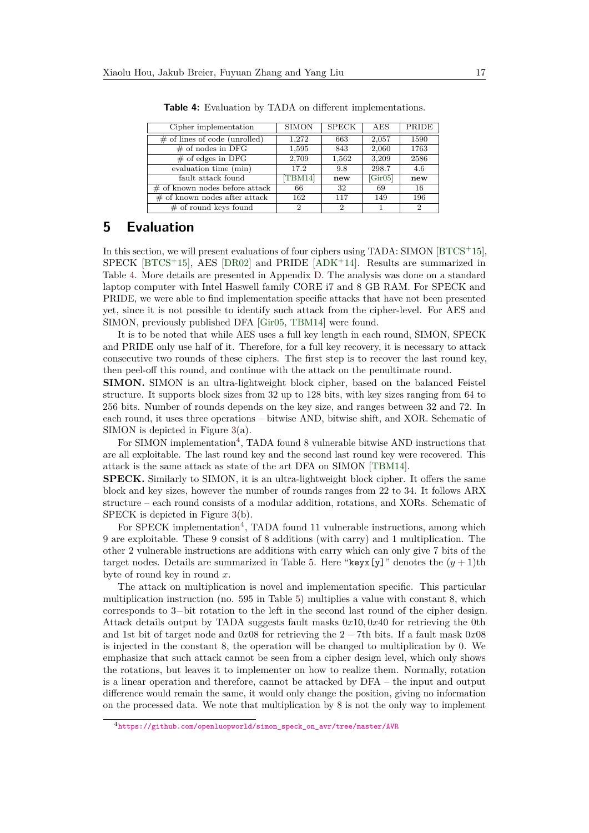<span id="page-16-1"></span>

| Cipher implementation            | <b>SIMON</b> | <b>SPECK</b> | AES     | PRIDE          |
|----------------------------------|--------------|--------------|---------|----------------|
| $\#$ of lines of code (unrolled) | 1.272        | 663          | 2,057   | 1590           |
| $\#$ of nodes in DFG             | 1,595        | 843          | 2,060   | 1763           |
| $\#$ of edges in DFG             | 2,709        | 1,562        | 3,209   | 2586           |
| evaluation time (min)            | 17.2         | 9.8          | 298.7   | 4.6            |
| fault attack found               | TBM14        | new          | [Gir05] | new            |
| $#$ of known nodes before attack | 66           | 32           | 69      | 16             |
| $\#$ of known nodes after attack | 162          | 117          | 149     | 196            |
| $\#$ of round keys found         | 2            | 2            |         | $\overline{2}$ |

**Table 4:** Evaluation by TADA on different implementations.

### <span id="page-16-0"></span>**5 Evaluation**

In this section, we will present evaluations of four ciphers using TADA: SIMON [\[BTCS](#page-21-1)+15],  $SPECK$  [\[BTCS](#page-21-1)<sup>+</sup>15], AES [\[DR02\]](#page-22-3) and PRIDE [\[ADK](#page-20-4)<sup>+</sup>14]. Results are summarized in Table [4.](#page-16-1) More details are presented in Appendix [D.](#page-25-1) The analysis was done on a standard laptop computer with Intel Haswell family CORE i7 and 8 GB RAM. For SPECK and PRIDE, we were able to find implementation specific attacks that have not been presented yet, since it is not possible to identify such attack from the cipher-level. For AES and SIMON, previously published DFA [\[Gir05,](#page-22-11) [TBM14\]](#page-23-4) were found.

It is to be noted that while AES uses a full key length in each round, SIMON, SPECK and PRIDE only use half of it. Therefore, for a full key recovery, it is necessary to attack consecutive two rounds of these ciphers. The first step is to recover the last round key, then peel-off this round, and continue with the attack on the penultimate round.

**SIMON.** SIMON is an ultra-lightweight block cipher, based on the balanced Feistel structure. It supports block sizes from 32 up to 128 bits, with key sizes ranging from 64 to 256 bits. Number of rounds depends on the key size, and ranges between 32 and 72. In each round, it uses three operations – bitwise AND, bitwise shift, and XOR. Schematic of SIMON is depicted in Figure [3\(](#page-17-1)a).

For SIMON implementation<sup>[4](#page-16-2)</sup>, TADA found 8 vulnerable bitwise AND instructions that are all exploitable. The last round key and the second last round key were recovered. This attack is the same attack as state of the art DFA on SIMON [\[TBM14\]](#page-23-4).

**SPECK.** Similarly to SIMON, it is an ultra-lightweight block cipher. It offers the same block and key sizes, however the number of rounds ranges from 22 to 34. It follows ARX structure – each round consists of a modular addition, rotations, and XORs. Schematic of SPECK is depicted in Figure [3\(](#page-17-1)b).

For SPECK implementation<sup>4</sup>, TADA found 11 vulnerable instructions, among which 9 are exploitable. These 9 consist of 8 additions (with carry) and 1 multiplication. The other 2 vulnerable instructions are additions with carry which can only give 7 bits of the target nodes. Details are summarized in Table [5.](#page-18-1) Here "keyx[y]" denotes the  $(y + 1)$ th byte of round key in round *x*.

The attack on multiplication is novel and implementation specific. This particular multiplication instruction (no. 595 in Table [5\)](#page-18-1) multiplies a value with constant 8, which corresponds to 3−bit rotation to the left in the second last round of the cipher design. Attack details output by TADA suggests fault masks 0*x*10*,* 0*x*40 for retrieving the 0th and 1st bit of target node and 0*x*08 for retrieving the 2 − 7th bits. If a fault mask 0*x*08 is injected in the constant 8, the operation will be changed to multiplication by 0. We emphasize that such attack cannot be seen from a cipher design level, which only shows the rotations, but leaves it to implementer on how to realize them. Normally, rotation is a linear operation and therefore, cannot be attacked by DFA – the input and output difference would remain the same, it would only change the position, giving no information on the processed data. We note that multiplication by 8 is not the only way to implement

<span id="page-16-2"></span><sup>4</sup>[https://github.com/openluopworld/simon\\_speck\\_on\\_avr/tree/master/AVR](https://github.com/openluopworld/simon_speck_on_avr/tree/master/AVR)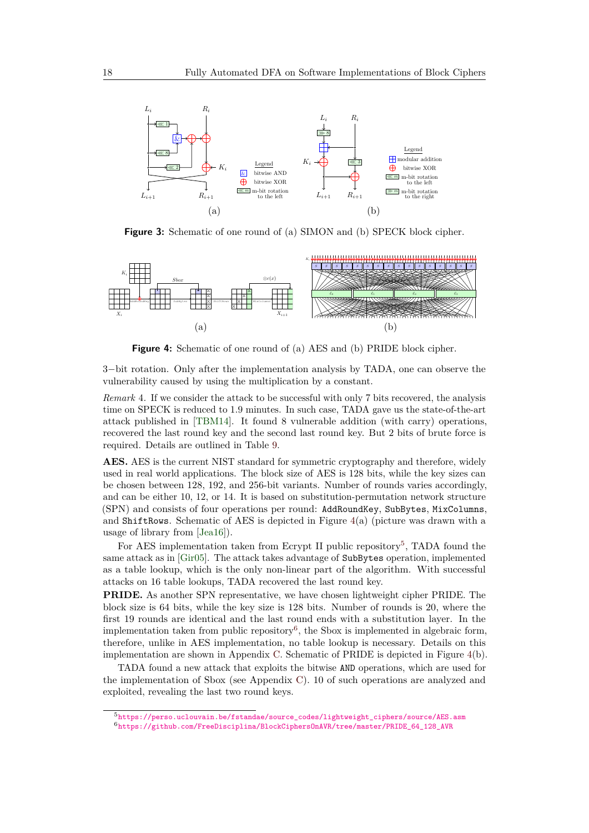<span id="page-17-1"></span>

**Figure 3:** Schematic of one round of (a) SIMON and (b) SPECK block cipher.

<span id="page-17-2"></span>

**Figure 4:** Schematic of one round of (a) AES and (b) PRIDE block cipher.

3−bit rotation. Only after the implementation analysis by TADA, one can observe the vulnerability caused by using the multiplication by a constant.

<span id="page-17-0"></span>*Remark* 4*.* If we consider the attack to be successful with only 7 bits recovered, the analysis time on SPECK is reduced to 1*.*9 minutes. In such case, TADA gave us the state-of-the-art attack published in [\[TBM14\]](#page-23-4). It found 8 vulnerable addition (with carry) operations, recovered the last round key and the second last round key. But 2 bits of brute force is required. Details are outlined in Table [9.](#page-27-0)

**AES.** AES is the current NIST standard for symmetric cryptography and therefore, widely used in real world applications. The block size of AES is 128 bits, while the key sizes can be chosen between 128, 192, and 256-bit variants. Number of rounds varies accordingly, and can be either 10, 12, or 14. It is based on substitution-permutation network structure (SPN) and consists of four operations per round: AddRoundKey, SubBytes, MixColumns, and ShiftRows. Schematic of AES is depicted in Figure  $4(a)$  $4(a)$  (picture was drawn with a usage of library from [\[Jea16\]](#page-22-12)).

For AES implementation taken from Ecrypt II public repository<sup>[5](#page-17-3)</sup>, TADA found the same attack as in [\[Gir05\]](#page-22-11). The attack takes advantage of SubBytes operation, implemented as a table lookup, which is the only non-linear part of the algorithm. With successful attacks on 16 table lookups, TADA recovered the last round key.

**PRIDE.** As another SPN representative, we have chosen lightweight cipher PRIDE. The block size is 64 bits, while the key size is 128 bits. Number of rounds is 20, where the first 19 rounds are identical and the last round ends with a substitution layer. In the implementation taken from public repository<sup>[6](#page-17-4)</sup>, the Sbox is implemented in algebraic form, therefore, unlike in AES implementation, no table lookup is necessary. Details on this implementation are shown in Appendix [C.](#page-25-2) Schematic of PRIDE is depicted in Figure [4\(](#page-17-2)b).

TADA found a new attack that exploits the bitwise AND operations, which are used for the implementation of Sbox (see Appendix [C\)](#page-25-2). 10 of such operations are analyzed and exploited, revealing the last two round keys.

<span id="page-17-3"></span><sup>5</sup>[https://perso.uclouvain.be/fstandae/source\\_codes/lightweight\\_ciphers/source/AES.asm](https://perso.uclouvain.be/fstandae/source_codes/lightweight_ciphers/source/AES.asm)

<span id="page-17-4"></span> $^6$ [https://github.com/FreeDisciplina/BlockCiphersOnAVR/tree/master/PRIDE\\_64\\_128\\_AVR](https://github.com/FreeDisciplina/BlockCiphersOnAVR/tree/master/PRIDE_64_128_AVR)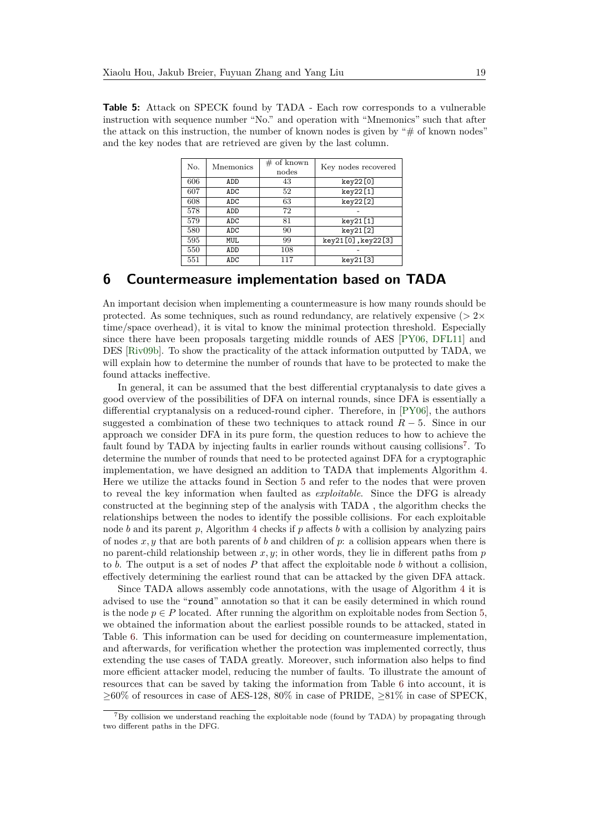<span id="page-18-1"></span>**Table 5:** Attack on SPECK found by TADA - Each row corresponds to a vulnerable instruction with sequence number "No." and operation with "Mnemonics" such that after the attack on this instruction, the number of known nodes is given by " $#$  of known nodes" and the key nodes that are retrieved are given by the last column.

| No. | Mnemonics | $#$ of known<br>nodes | Key nodes recovered |
|-----|-----------|-----------------------|---------------------|
| 606 | ADD       | 43                    | key22[0]            |
| 607 | ADC       | 52                    | key22[1]            |
| 608 | ADC       | 63                    | key22[2]            |
| 578 | ADD       | 72                    |                     |
| 579 | ADC       | 81                    | key21[1]            |
| 580 | ADC       | 90                    | key21[2]            |
| 595 | MUL       | 99                    | key21[0], key22[3]  |
| 550 | ADD       | 108                   |                     |
| 551 | ADC       | 117                   | key21[3]            |

### <span id="page-18-0"></span>**6 Countermeasure implementation based on TADA**

An important decision when implementing a countermeasure is how many rounds should be protected. As some techniques, such as round redundancy, are relatively expensive ( $> 2 \times$ time/space overhead), it is vital to know the minimal protection threshold. Especially since there have been proposals targeting middle rounds of AES [\[PY06,](#page-23-10) [DFL11\]](#page-21-12) and DES [\[Riv09b\]](#page-23-11). To show the practicality of the attack information outputted by TADA, we will explain how to determine the number of rounds that have to be protected to make the found attacks ineffective.

In general, it can be assumed that the best differential cryptanalysis to date gives a good overview of the possibilities of DFA on internal rounds, since DFA is essentially a differential cryptanalysis on a reduced-round cipher. Therefore, in [\[PY06\]](#page-23-10), the authors suggested a combination of these two techniques to attack round  $R-5$ . Since in our approach we consider DFA in its pure form, the question reduces to how to achieve the fault found by TADA by injecting faults in earlier rounds without causing collisions<sup>[7](#page-18-2)</sup>. To determine the number of rounds that need to be protected against DFA for a cryptographic implementation, we have designed an addition to TADA that implements Algorithm [4.](#page-19-1) Here we utilize the attacks found in Section [5](#page-16-0) and refer to the nodes that were proven to reveal the key information when faulted as *exploitable*. Since the DFG is already constructed at the beginning step of the analysis with TADA , the algorithm checks the relationships between the nodes to identify the possible collisions. For each exploitable node *b* and its parent *p*, Algorithm [4](#page-19-1) checks if *p* affects *b* with a collision by analyzing pairs of nodes *x, y* that are both parents of *b* and children of *p*: a collision appears when there is no parent-child relationship between *x, y*; in other words, they lie in different paths from *p* to *b*. The output is a set of nodes *P* that affect the exploitable node *b* without a collision, effectively determining the earliest round that can be attacked by the given DFA attack.

Since TADA allows assembly code annotations, with the usage of Algorithm [4](#page-19-1) it is advised to use the "round" annotation so that it can be easily determined in which round is the node  $p \in P$  located. After running the algorithm on exploitable nodes from Section [5,](#page-16-0) we obtained the information about the earliest possible rounds to be attacked, stated in Table [6.](#page-19-2) This information can be used for deciding on countermeasure implementation, and afterwards, for verification whether the protection was implemented correctly, thus extending the use cases of TADA greatly. Moreover, such information also helps to find more efficient attacker model, reducing the number of faults. To illustrate the amount of resources that can be saved by taking the information from Table [6](#page-19-2) into account, it is  $\geq 60\%$  of resources in case of AES-128, 80% in case of PRIDE,  $\geq 81\%$  in case of SPECK,

<span id="page-18-2"></span><sup>7</sup>By collision we understand reaching the exploitable node (found by TADA) by propagating through two different paths in the DFG.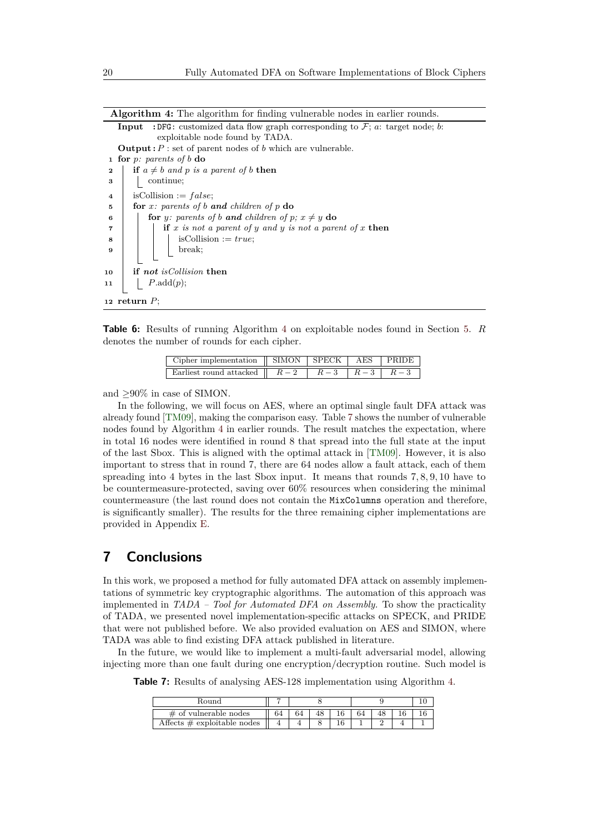**Algorithm 4:** The algorithm for finding vulnerable nodes in earlier rounds.

**Input** : DFG: customized data flow graph corresponding to  $\mathcal{F}$ ; *a*: target node; *b*: exploitable node found by TADA. **Output :**  $P$  : set of parent nodes of  $b$  which are vulnerable. **<sup>1</sup> for** *p: parents of b* **do 2 if**  $a \neq b$  *and*  $p$  *is a parent of*  $b$  **then 3 continue**;

 isCollision := *f alse*; **for** *x: parents of b and children of p* **do for** *y:* parents of *b* **and** children of  $p$ *;*  $x \neq y$  **do if** *x is not a parent of y and y is not a parent of x* **then**  $\mathbf{8}$  | | | isCollision := *true*; **<sup>9</sup>** break; **if** *not isCollision* **then** *P*.add(*p*); **return** *P*;

<span id="page-19-2"></span><span id="page-19-1"></span>**Table 6:** Results of running Algorithm [4](#page-19-1) on exploitable nodes found in Section [5.](#page-16-0) *R* denotes the number of rounds for each cipher.

| Cipher implementation    SIMON   SPECK   AES   PRIDE                                            |  |  |
|-------------------------------------------------------------------------------------------------|--|--|
| Earliest round attacked $\parallel$ $R-2$ $\parallel$ $R-3$ $\parallel$ $R-3$ $\parallel$ $R-3$ |  |  |

and  $\geq 90\%$  in case of SIMON.

In the following, we will focus on AES, where an optimal single fault DFA attack was already found [\[TM09\]](#page-24-2), making the comparison easy. Table [7](#page-19-3) shows the number of vulnerable nodes found by Algorithm [4](#page-19-1) in earlier rounds. The result matches the expectation, where in total 16 nodes were identified in round 8 that spread into the full state at the input of the last Sbox. This is aligned with the optimal attack in [\[TM09\]](#page-24-2). However, it is also important to stress that in round 7, there are 64 nodes allow a fault attack, each of them spreading into 4 bytes in the last Sbox input. It means that rounds 7*,* 8*,* 9*,* 10 have to be countermeasure-protected, saving over 60% resources when considering the minimal countermeasure (the last round does not contain the MixColumns operation and therefore, is significantly smaller). The results for the three remaining cipher implementations are provided in Appendix [E.](#page-26-1)

# <span id="page-19-0"></span>**7 Conclusions**

In this work, we proposed a method for fully automated DFA attack on assembly implementations of symmetric key cryptographic algorithms. The automation of this approach was implemented in *TADA – Tool for Automated DFA on Assembly.* To show the practicality of TADA, we presented novel implementation-specific attacks on SPECK, and PRIDE that were not published before. We also provided evaluation on AES and SIMON, where TADA was able to find existing DFA attack published in literature.

<span id="page-19-3"></span>In the future, we would like to implement a multi-fault adversarial model, allowing injecting more than one fault during one encryption/decryption routine. Such model is

**Table 7:** Results of analysing AES-128 implementation using Algorithm [4.](#page-19-1)

| Round                          |  |  |  |  |  |  |  |
|--------------------------------|--|--|--|--|--|--|--|
| $\#$ of vulnerable nodes       |  |  |  |  |  |  |  |
| Affects $\#$ exploitable nodes |  |  |  |  |  |  |  |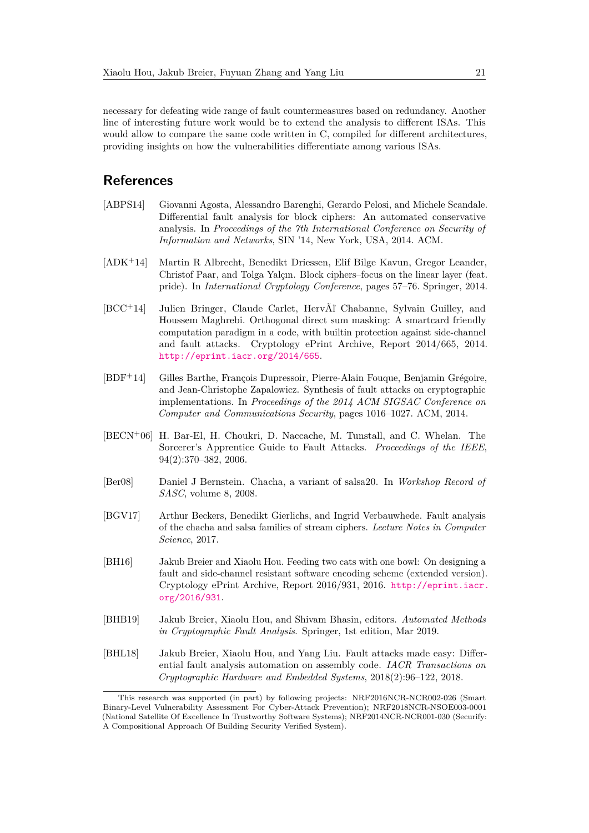necessary for defeating wide range of fault countermeasures based on redundancy. Another line of interesting future work would be to extend the analysis to different ISAs. This would allow to compare the same code written in C, compiled for different architectures, providing insights on how the vulnerabilities differentiate among various ISAs.

### **References**

- <span id="page-20-5"></span>[ABPS14] Giovanni Agosta, Alessandro Barenghi, Gerardo Pelosi, and Michele Scandale. Differential fault analysis for block ciphers: An automated conservative analysis. In *Proceedings of the 7th International Conference on Security of Information and Networks*, SIN '14, New York, USA, 2014. ACM.
- <span id="page-20-4"></span>[ADK<sup>+</sup>14] Martin R Albrecht, Benedikt Driessen, Elif Bilge Kavun, Gregor Leander, Christof Paar, and Tolga Yalçın. Block ciphers–focus on the linear layer (feat. pride). In *International Cryptology Conference*, pages 57–76. Springer, 2014.
- <span id="page-20-9"></span>[BCC<sup>+</sup>14] Julien Bringer, Claude Carlet, HervÃľ Chabanne, Sylvain Guilley, and Houssem Maghrebi. Orthogonal direct sum masking: A smartcard friendly computation paradigm in a code, with builtin protection against side-channel and fault attacks. Cryptology ePrint Archive, Report 2014/665, 2014. <http://eprint.iacr.org/2014/665>.
- <span id="page-20-6"></span>[BDF<sup>+</sup>14] Gilles Barthe, François Dupressoir, Pierre-Alain Fouque, Benjamin Grégoire, and Jean-Christophe Zapalowicz. Synthesis of fault attacks on cryptographic implementations. In *Proceedings of the 2014 ACM SIGSAC Conference on Computer and Communications Security*, pages 1016–1027. ACM, 2014.
- <span id="page-20-2"></span>[BECN<sup>+</sup>06] H. Bar-El, H. Choukri, D. Naccache, M. Tunstall, and C. Whelan. The Sorcerer's Apprentice Guide to Fault Attacks. *Proceedings of the IEEE*, 94(2):370–382, 2006.
- <span id="page-20-0"></span>[Ber08] Daniel J Bernstein. Chacha, a variant of salsa20. In *Workshop Record of SASC*, volume 8, 2008.
- <span id="page-20-7"></span>[BGV17] Arthur Beckers, Benedikt Gierlichs, and Ingrid Verbauwhede. Fault analysis of the chacha and salsa families of stream ciphers. *Lecture Notes in Computer Science*, 2017.
- <span id="page-20-8"></span>[BH16] Jakub Breier and Xiaolu Hou. Feeding two cats with one bowl: On designing a fault and side-channel resistant software encoding scheme (extended version). Cryptology ePrint Archive, Report 2016/931, 2016. [http://eprint.iacr.](http://eprint.iacr.org/2016/931) [org/2016/931](http://eprint.iacr.org/2016/931).
- <span id="page-20-3"></span>[BHB19] Jakub Breier, Xiaolu Hou, and Shivam Bhasin, editors. *Automated Methods in Cryptographic Fault Analysis*. Springer, 1st edition, Mar 2019.
- <span id="page-20-1"></span>[BHL18] Jakub Breier, Xiaolu Hou, and Yang Liu. Fault attacks made easy: Differential fault analysis automation on assembly code. *IACR Transactions on Cryptographic Hardware and Embedded Systems*, 2018(2):96–122, 2018.

This research was supported (in part) by following projects: NRF2016NCR-NCR002-026 (Smart Binary-Level Vulnerability Assessment For Cyber-Attack Prevention); NRF2018NCR-NSOE003-0001 (National Satellite Of Excellence In Trustworthy Software Systems); NRF2014NCR-NCR001-030 (Securify: A Compositional Approach Of Building Security Verified System).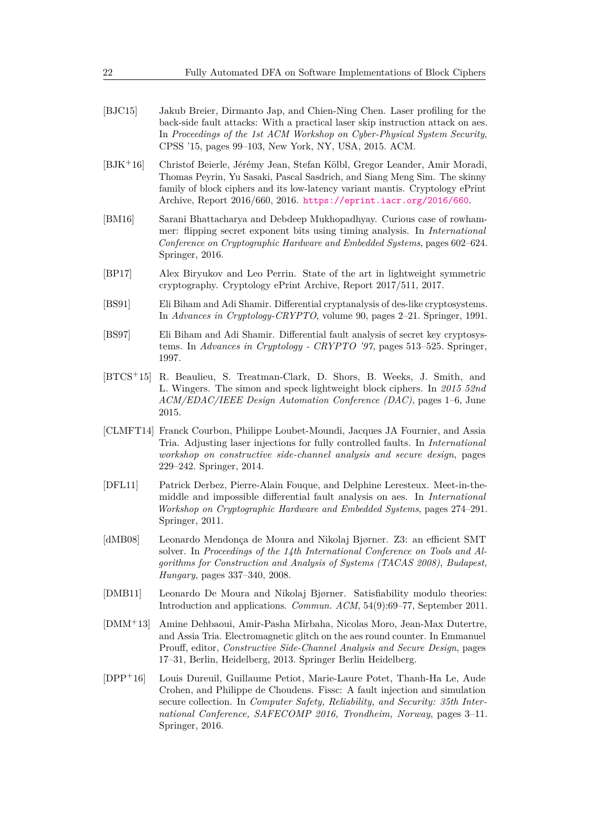- <span id="page-21-10"></span>[BJC15] Jakub Breier, Dirmanto Jap, and Chien-Ning Chen. Laser profiling for the back-side fault attacks: With a practical laser skip instruction attack on aes. In *Proceedings of the 1st ACM Workshop on Cyber-Physical System Security*, CPSS '15, pages 99–103, New York, NY, USA, 2015. ACM.
- <span id="page-21-2"></span>[BJK<sup>+</sup>16] Christof Beierle, Jérémy Jean, Stefan Kölbl, Gregor Leander, Amir Moradi, Thomas Peyrin, Yu Sasaki, Pascal Sasdrich, and Siang Meng Sim. The skinny family of block ciphers and its low-latency variant mantis. Cryptology ePrint Archive, Report 2016/660, 2016. <https://eprint.iacr.org/2016/660>.
- <span id="page-21-9"></span>[BM16] Sarani Bhattacharya and Debdeep Mukhopadhyay. Curious case of rowhammer: flipping secret exponent bits using timing analysis. In *International Conference on Cryptographic Hardware and Embedded Systems*, pages 602–624. Springer, 2016.
- <span id="page-21-0"></span>[BP17] Alex Biryukov and Leo Perrin. State of the art in lightweight symmetric cryptography. Cryptology ePrint Archive, Report 2017/511, 2017.
- <span id="page-21-4"></span>[BS91] Eli Biham and Adi Shamir. Differential cryptanalysis of des-like cryptosystems. In *Advances in Cryptology-CRYPTO*, volume 90, pages 2–21. Springer, 1991.
- <span id="page-21-3"></span>[BS97] Eli Biham and Adi Shamir. Differential fault analysis of secret key cryptosystems. In *Advances in Cryptology - CRYPTO '97*, pages 513–525. Springer, 1997.
- <span id="page-21-1"></span>[BTCS<sup>+</sup>15] R. Beaulieu, S. Treatman-Clark, D. Shors, B. Weeks, J. Smith, and L. Wingers. The simon and speck lightweight block ciphers. In *2015 52nd ACM/EDAC/IEEE Design Automation Conference (DAC)*, pages 1–6, June 2015.
- <span id="page-21-8"></span>[CLMFT14] Franck Courbon, Philippe Loubet-Moundi, Jacques JA Fournier, and Assia Tria. Adjusting laser injections for fully controlled faults. In *International workshop on constructive side-channel analysis and secure design*, pages 229–242. Springer, 2014.
- <span id="page-21-12"></span>[DFL11] Patrick Derbez, Pierre-Alain Fouque, and Delphine Leresteux. Meet-in-themiddle and impossible differential fault analysis on aes. In *International Workshop on Cryptographic Hardware and Embedded Systems*, pages 274–291. Springer, 2011.
- <span id="page-21-7"></span>[dMB08] Leonardo Mendonça de Moura and Nikolaj Bjørner. Z3: an efficient SMT solver. In *Proceedings of the 14th International Conference on Tools and Algorithms for Construction and Analysis of Systems (TACAS 2008), Budapest, Hungary*, pages 337–340, 2008.
- <span id="page-21-6"></span>[DMB11] Leonardo De Moura and Nikolaj Bjørner. Satisfiability modulo theories: Introduction and applications. *Commun. ACM*, 54(9):69–77, September 2011.
- <span id="page-21-11"></span>[DMM<sup>+</sup>13] Amine Dehbaoui, Amir-Pasha Mirbaha, Nicolas Moro, Jean-Max Dutertre, and Assia Tria. Electromagnetic glitch on the aes round counter. In Emmanuel Prouff, editor, *Constructive Side-Channel Analysis and Secure Design*, pages 17–31, Berlin, Heidelberg, 2013. Springer Berlin Heidelberg.
- <span id="page-21-5"></span>[DPP<sup>+</sup>16] Louis Dureuil, Guillaume Petiot, Marie-Laure Potet, Thanh-Ha Le, Aude Crohen, and Philippe de Choudens. Fissc: A fault injection and simulation secure collection. In *Computer Safety, Reliability, and Security: 35th International Conference, SAFECOMP 2016, Trondheim, Norway*, pages 3–11. Springer, 2016.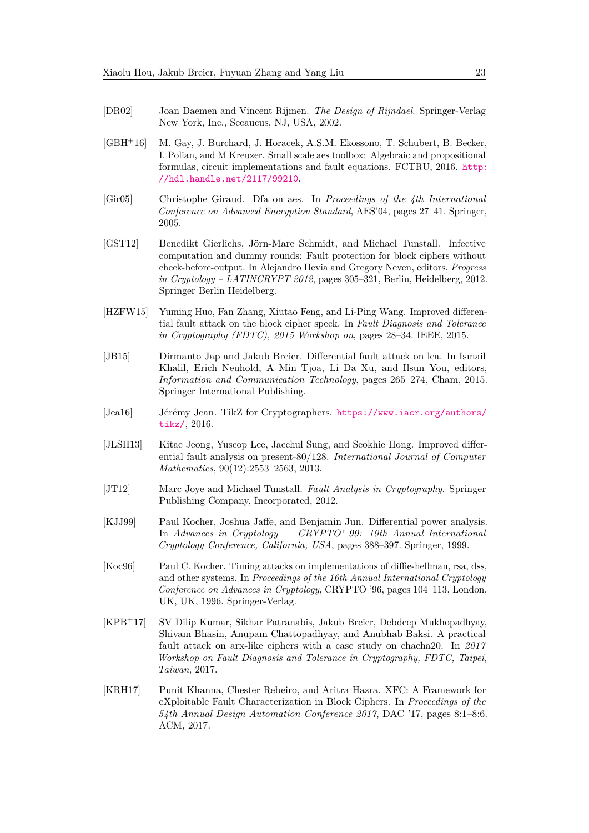- <span id="page-22-3"></span>[DR02] Joan Daemen and Vincent Rijmen. *The Design of Rijndael*. Springer-Verlag New York, Inc., Secaucus, NJ, USA, 2002.
- <span id="page-22-4"></span>[GBH<sup>+</sup>16] M. Gay, J. Burchard, J. Horacek, A.S.M. Ekossono, T. Schubert, B. Becker, I. Polian, and M Kreuzer. Small scale aes toolbox: Algebraic and propositional formulas, circuit implementations and fault equations. FCTRU, 2016. [http:](http://hdl.handle.net/2117/99210) [//hdl.handle.net/2117/99210](http://hdl.handle.net/2117/99210).
- <span id="page-22-11"></span>[Gir05] Christophe Giraud. Dfa on aes. In *Proceedings of the 4th International Conference on Advanced Encryption Standard*, AES'04, pages 27–41. Springer, 2005.
- <span id="page-22-10"></span>[GST12] Benedikt Gierlichs, Jörn-Marc Schmidt, and Michael Tunstall. Infective computation and dummy rounds: Fault protection for block ciphers without check-before-output. In Alejandro Hevia and Gregory Neven, editors, *Progress in Cryptology – LATINCRYPT 2012*, pages 305–321, Berlin, Heidelberg, 2012. Springer Berlin Heidelberg.
- <span id="page-22-1"></span>[HZFW15] Yuming Huo, Fan Zhang, Xiutao Feng, and Li-Ping Wang. Improved differential fault attack on the block cipher speck. In *Fault Diagnosis and Tolerance in Cryptography (FDTC), 2015 Workshop on*, pages 28–34. IEEE, 2015.
- <span id="page-22-5"></span>[JB15] Dirmanto Jap and Jakub Breier. Differential fault attack on lea. In Ismail Khalil, Erich Neuhold, A Min Tjoa, Li Da Xu, and Ilsun You, editors, *Information and Communication Technology*, pages 265–274, Cham, 2015. Springer International Publishing.
- <span id="page-22-12"></span>[Jea16] Jérémy Jean. TikZ for Cryptographers. [https://www.iacr.org/authors/](https://www.iacr.org/authors/tikz/) [tikz/](https://www.iacr.org/authors/tikz/), 2016.
- <span id="page-22-6"></span>[JLSH13] Kitae Jeong, Yuseop Lee, Jaechul Sung, and Seokhie Hong. Improved differential fault analysis on present-80/128. *International Journal of Computer Mathematics*, 90(12):2553–2563, 2013.
- <span id="page-22-7"></span>[JT12] Marc Joye and Michael Tunstall. *Fault Analysis in Cryptography*. Springer Publishing Company, Incorporated, 2012.
- <span id="page-22-0"></span>[KJJ99] Paul Kocher, Joshua Jaffe, and Benjamin Jun. Differential power analysis. In *Advances in Cryptology — CRYPTO' 99: 19th Annual International Cryptology Conference, California, USA*, pages 388–397. Springer, 1999.
- <span id="page-22-8"></span>[Koc96] Paul C. Kocher. Timing attacks on implementations of diffie-hellman, rsa, dss, and other systems. In *Proceedings of the 16th Annual International Cryptology Conference on Advances in Cryptology*, CRYPTO '96, pages 104–113, London, UK, UK, 1996. Springer-Verlag.
- <span id="page-22-9"></span>[KPB<sup>+</sup>17] SV Dilip Kumar, Sikhar Patranabis, Jakub Breier, Debdeep Mukhopadhyay, Shivam Bhasin, Anupam Chattopadhyay, and Anubhab Baksi. A practical fault attack on arx-like ciphers with a case study on chacha20. In *2017 Workshop on Fault Diagnosis and Tolerance in Cryptography, FDTC, Taipei, Taiwan*, 2017.
- <span id="page-22-2"></span>[KRH17] Punit Khanna, Chester Rebeiro, and Aritra Hazra. XFC: A Framework for eXploitable Fault Characterization in Block Ciphers. In *Proceedings of the 54th Annual Design Automation Conference 2017*, DAC '17, pages 8:1–8:6. ACM, 2017.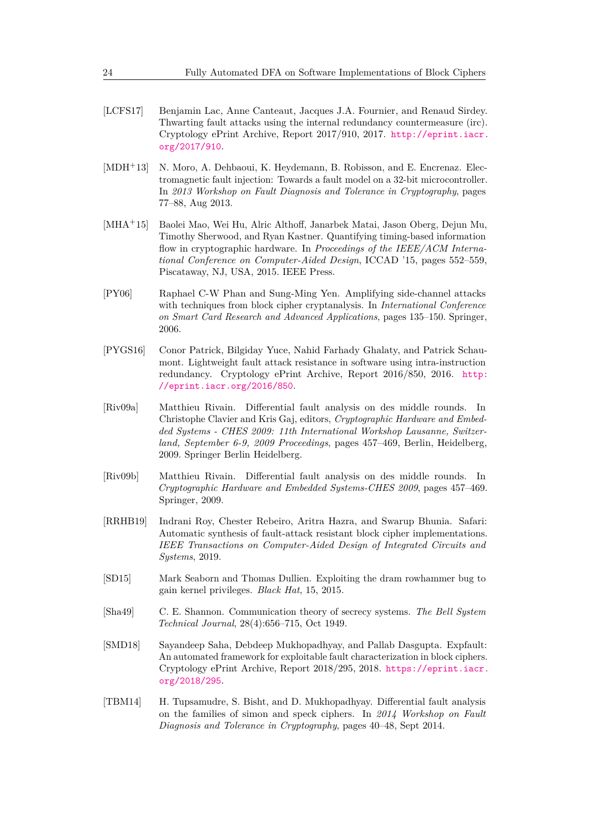- <span id="page-23-9"></span>[LCFS17] Benjamin Lac, Anne Canteaut, Jacques J.A. Fournier, and Renaud Sirdey. Thwarting fault attacks using the internal redundancy countermeasure (irc). Cryptology ePrint Archive, Report 2017/910, 2017. [http://eprint.iacr.](http://eprint.iacr.org/2017/910) [org/2017/910](http://eprint.iacr.org/2017/910).
- <span id="page-23-2"></span>[MDH<sup>+</sup>13] N. Moro, A. Dehbaoui, K. Heydemann, B. Robisson, and E. Encrenaz. Electromagnetic fault injection: Towards a fault model on a 32-bit microcontroller. In *2013 Workshop on Fault Diagnosis and Tolerance in Cryptography*, pages 77–88, Aug 2013.
- <span id="page-23-7"></span>[MHA<sup>+</sup>15] Baolei Mao, Wei Hu, Alric Althoff, Janarbek Matai, Jason Oberg, Dejun Mu, Timothy Sherwood, and Ryan Kastner. Quantifying timing-based information flow in cryptographic hardware. In *Proceedings of the IEEE/ACM International Conference on Computer-Aided Design*, ICCAD '15, pages 552–559, Piscataway, NJ, USA, 2015. IEEE Press.
- <span id="page-23-10"></span>[PY06] Raphael C-W Phan and Sung-Ming Yen. Amplifying side-channel attacks with techniques from block cipher cryptanalysis. In *International Conference on Smart Card Research and Advanced Applications*, pages 135–150. Springer, 2006.
- <span id="page-23-8"></span>[PYGS16] Conor Patrick, Bilgiday Yuce, Nahid Farhady Ghalaty, and Patrick Schaumont. Lightweight fault attack resistance in software using intra-instruction redundancy. Cryptology ePrint Archive, Report 2016/850, 2016. [http:](http://eprint.iacr.org/2016/850) [//eprint.iacr.org/2016/850](http://eprint.iacr.org/2016/850).
- <span id="page-23-5"></span>[Riv09a] Matthieu Rivain. Differential fault analysis on des middle rounds. In Christophe Clavier and Kris Gaj, editors, *Cryptographic Hardware and Embedded Systems - CHES 2009: 11th International Workshop Lausanne, Switzerland, September 6-9, 2009 Proceedings*, pages 457–469, Berlin, Heidelberg, 2009. Springer Berlin Heidelberg.
- <span id="page-23-11"></span>[Riv09b] Matthieu Rivain. Differential fault analysis on des middle rounds. In *Cryptographic Hardware and Embedded Systems-CHES 2009*, pages 457–469. Springer, 2009.
- <span id="page-23-1"></span>[RRHB19] Indrani Roy, Chester Rebeiro, Aritra Hazra, and Swarup Bhunia. Safari: Automatic synthesis of fault-attack resistant block cipher implementations. *IEEE Transactions on Computer-Aided Design of Integrated Circuits and Systems*, 2019.
- <span id="page-23-3"></span>[SD15] Mark Seaborn and Thomas Dullien. Exploiting the dram rowhammer bug to gain kernel privileges. *Black Hat*, 15, 2015.
- <span id="page-23-6"></span>[Sha49] C. E. Shannon. Communication theory of secrecy systems. *The Bell System Technical Journal*, 28(4):656–715, Oct 1949.
- <span id="page-23-0"></span>[SMD18] Sayandeep Saha, Debdeep Mukhopadhyay, and Pallab Dasgupta. Expfault: An automated framework for exploitable fault characterization in block ciphers. Cryptology ePrint Archive, Report 2018/295, 2018. [https://eprint.iacr.](https://eprint.iacr.org/2018/295) [org/2018/295](https://eprint.iacr.org/2018/295).
- <span id="page-23-4"></span>[TBM14] H. Tupsamudre, S. Bisht, and D. Mukhopadhyay. Differential fault analysis on the families of simon and speck ciphers. In *2014 Workshop on Fault Diagnosis and Tolerance in Cryptography*, pages 40–48, Sept 2014.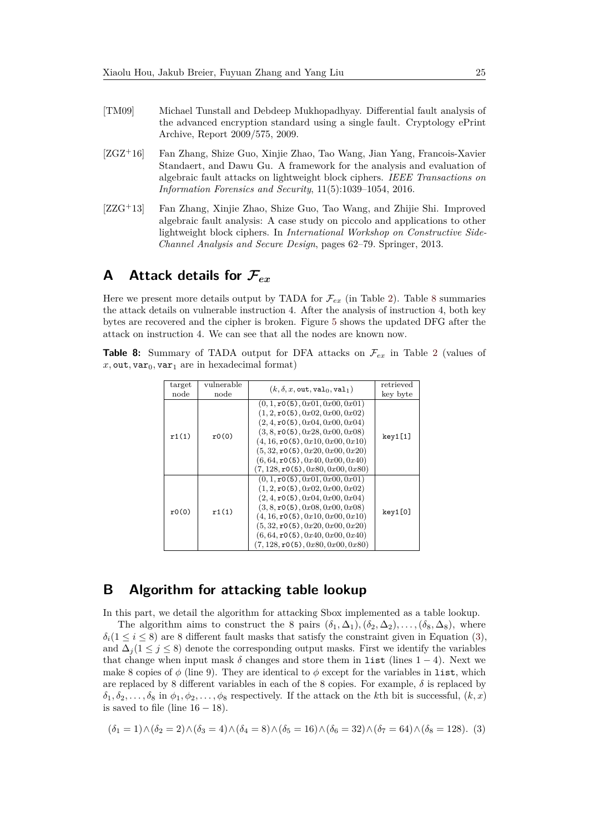- <span id="page-24-2"></span>[TM09] Michael Tunstall and Debdeep Mukhopadhyay. Differential fault analysis of the advanced encryption standard using a single fault. Cryptology ePrint Archive, Report 2009/575, 2009.
- <span id="page-24-1"></span>[ZGZ<sup>+</sup>16] Fan Zhang, Shize Guo, Xinjie Zhao, Tao Wang, Jian Yang, Francois-Xavier Standaert, and Dawu Gu. A framework for the analysis and evaluation of algebraic fault attacks on lightweight block ciphers. *IEEE Transactions on Information Forensics and Security*, 11(5):1039–1054, 2016.
- <span id="page-24-0"></span>[ZZG<sup>+</sup>13] Fan Zhang, Xinjie Zhao, Shize Guo, Tao Wang, and Zhijie Shi. Improved algebraic fault analysis: A case study on piccolo and applications to other lightweight block ciphers. In *International Workshop on Constructive Side-Channel Analysis and Secure Design*, pages 62–79. Springer, 2013.

# <span id="page-24-3"></span>**A Attack details for F***ex*

Here we present more details output by TADA for  $\mathcal{F}_{ex}$  (in Table [2\)](#page-9-2). Table [8](#page-24-4) summaries the attack details on vulnerable instruction 4. After the analysis of instruction 4, both key bytes are recovered and the cipher is broken. Figure [5](#page-25-0) shows the updated DFG after the attack on instruction 4. We can see that all the nodes are known now.

<span id="page-24-4"></span>**Table 8:** Summary of TADA output for DFA attacks on  $\mathcal{F}_{ex}$  in Table [2](#page-9-2) (values of  $x, \text{out}, \text{var}_0, \text{var}_1$  are in hexadecimal format)

| target | vulnerable | $(k, \delta, x, \text{out}, \text{val}_0, \text{val}_1)$                                                                                                                                                                                                                                                                              | retrieved |
|--------|------------|---------------------------------------------------------------------------------------------------------------------------------------------------------------------------------------------------------------------------------------------------------------------------------------------------------------------------------------|-----------|
| node   | node       |                                                                                                                                                                                                                                                                                                                                       | key byte  |
| r1(1)  | r0(0)      | (0, 1, r0(5), 0x01, 0x00, 0x01)<br>(1, 2, r0(5), 0x02, 0x00, 0x02)<br>(2, 4, r0(5), 0x04, 0x00, 0x04)<br>(3, 8, r0(5), 0x28, 0x00, 0x08)<br>$(4, 16, \texttt{r0(5)}, 0x10, 0x00, 0x10)$<br>$(5, 32, \texttt{r0(5)}, 0x20, 0x00, 0x20)$<br>$(6, 64, \texttt{r0(5)}, 0x40, 0x00, 0x40)$<br>$(7, 128, \texttt{r0(5)}, 0x80, 0x00, 0x80)$ | key1[1]   |
| r0(0)  | r1(1)      | (0, 1, r0(5), 0x01, 0x00, 0x01)<br>(1, 2, r0(5), 0x02, 0x00, 0x02)<br>(2, 4, r0(5), 0x04, 0x00, 0x04)<br>(3, 8, r0(5), 0x08, 0x00, 0x08)<br>$(4, 16, \texttt{r0(5)}, 0x10, 0x00, 0x10)$<br>(5, 32, r0(5), 0x20, 0x00, 0x20)<br>(6, 64, r0(5), 0x40, 0x00, 0x40)<br>$(7, 128, \texttt{r0(5)}, 0x80, 0x00, 0x80)$                       | key1[0]   |

### <span id="page-24-5"></span>**B Algorithm for attacking table lookup**

In this part, we detail the algorithm for attacking Sbox implemented as a table lookup.

The algorithm aims to construct the 8 pairs  $(\delta_1, \Delta_1), (\delta_2, \Delta_2), \ldots, (\delta_8, \Delta_8)$ , where  $\delta_i(1 \leq i \leq 8)$  are 8 different fault masks that satisfy the constraint given in Equation [\(3\)](#page-24-6), and  $\Delta_i (1 \leq j \leq 8)$  denote the corresponding output masks. First we identify the variables that change when input mask  $\delta$  changes and store them in list (lines 1 – 4). Next we make 8 copies of  $\phi$  (line 9). They are identical to  $\phi$  except for the variables in list, which are replaced by 8 different variables in each of the 8 copies. For example, *δ* is replaced by  $\delta_1, \delta_2, \ldots, \delta_8$  in  $\phi_1, \phi_2, \ldots, \phi_8$  respectively. If the attack on the *k*th bit is successful,  $(k, x)$ is saved to file (line  $16 - 18$ ).

<span id="page-24-6"></span>
$$
(\delta_1 = 1) \land (\delta_2 = 2) \land (\delta_3 = 4) \land (\delta_4 = 8) \land (\delta_5 = 16) \land (\delta_6 = 32) \land (\delta_7 = 64) \land (\delta_8 = 128).
$$
 (3)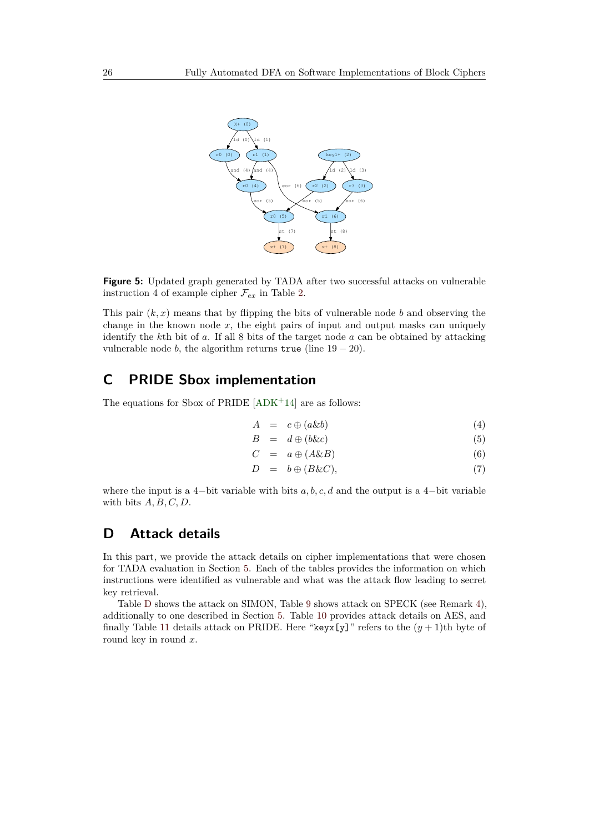<span id="page-25-0"></span>

**Figure 5:** Updated graph generated by TADA after two successful attacks on vulnerable instruction 4 of example cipher  $\mathcal{F}_{ex}$  in Table [2.](#page-9-2)

This pair  $(k, x)$  means that by flipping the bits of vulnerable node *b* and observing the change in the known node  $x$ , the eight pairs of input and output masks can uniquely identify the *k*th bit of *a*. If all 8 bits of the target node *a* can be obtained by attacking vulnerable node *b*, the algorithm returns true (line  $19 - 20$ ).

# <span id="page-25-2"></span>**C PRIDE Sbox implementation**

The equations for Sbox of PRIDE  $[ADK^+14]$  $[ADK^+14]$  are as follows:

$$
A = c \oplus (a \& b) \tag{4}
$$

$$
B = d \oplus (b\&c) \tag{5}
$$

$$
C = a \oplus (A \& B) \tag{6}
$$
  
\n
$$
D = b \oplus (B \& C), \tag{7}
$$

where the input is a 4-bit variable with bits 
$$
a, b, c, d
$$
 and the output is a 4-bit variable with bits  $A, B, C, D$ .

# <span id="page-25-1"></span>**D Attack details**

In this part, we provide the attack details on cipher implementations that were chosen for TADA evaluation in Section [5.](#page-16-0) Each of the tables provides the information on which instructions were identified as vulnerable and what was the attack flow leading to secret key retrieval.

Table [D](#page-25-1) shows the attack on SIMON, Table [9](#page-27-0) shows attack on SPECK (see Remark [4\)](#page-17-0), additionally to one described in Section [5.](#page-16-0) Table [10](#page-27-1) provides attack details on AES, and finally Table [11](#page-28-0) details attack on PRIDE. Here "keyx[y]" refers to the  $(y + 1)$ th byte of round key in round *x*.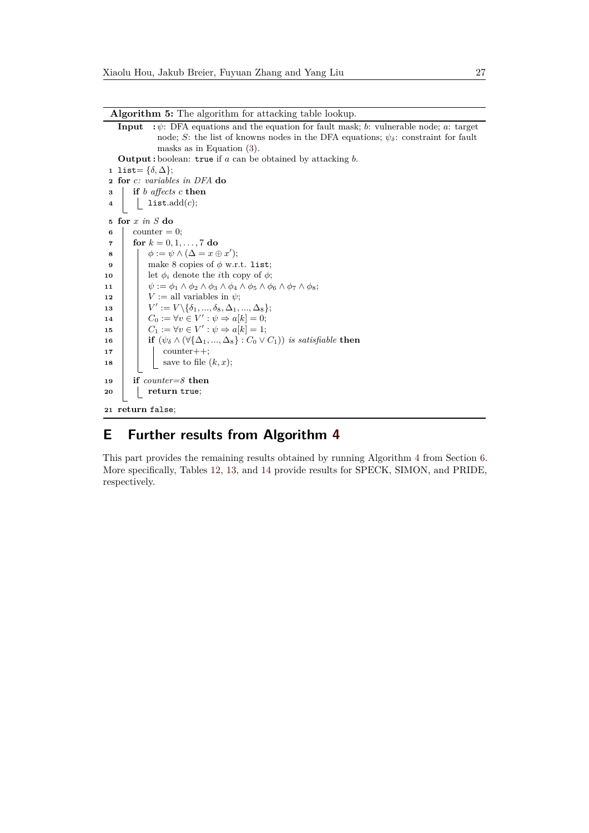**Algorithm 5:** The algorithm for attacking table lookup. **Input :** *ψ*: DFA equations and the equation for fault mask; *b*: vulnerable node; *a*: target node; *S*: the list of knowns nodes in the DFA equations;  $\psi_{\delta}$ : constraint for fault masks as in Equation [\(3\)](#page-24-6). **Output :** boolean: true if *a* can be obtained by attacking *b*. 1 list=  $\{\delta, \Delta\};$ **<sup>2</sup> for** *c: variables in DFA* **do <sup>3</sup> if** *b affects c* **then <sup>4</sup>** list.add(*c*); **<sup>5</sup> for** *x in S* **do**  $\epsilon$  counter = 0; **7 for**  $k = 0, 1, ..., 7$  **do 8**  $\phi := \psi \wedge (\Delta = x \oplus x')$ ; **9** make 8 copies of  $\phi$  w.r.t. list; **10** let  $\phi_i$  denote the *i*th copy of  $\phi$ ; **11**  $\psi := \phi_1 \wedge \phi_2 \wedge \phi_3 \wedge \phi_4 \wedge \phi_5 \wedge \phi_6 \wedge \phi_7 \wedge \phi_8;$ **12** *V* **:= all variables in**  $\psi$ **; <sup>13</sup>** *V*  $' := V \setminus {\delta_1, ..., \delta_8, \Delta_1, ..., \Delta_8};$ **14**  $C_0 := \forall v \in V' : \psi \Rightarrow a[k] = 0;$ **15**  $C_1 := \forall v \in V' : \psi \Rightarrow a[k] = 1;$ **16 if**  $(\psi_{\delta} \wedge (\forall {\Delta_1, ..., \Delta_8}) : C_0 \vee C_1)$  *is satisfiable* **then**  $\mathbf{17}$  | counter++; **18**  $\vert$  **b** save to file  $(k, x)$ ; **<sup>19</sup> if** *counter=8* **then <sup>20</sup> return** true; **<sup>21</sup> return** false;

# <span id="page-26-1"></span><span id="page-26-0"></span>**E Further results from Algorithm [4](#page-19-1)**

This part provides the remaining results obtained by running Algorithm [4](#page-19-1) from Section [6.](#page-18-0) More specifically, Tables [12,](#page-28-1) [13,](#page-28-2) and [14](#page-28-3) provide results for SPECK, SIMON, and PRIDE, respectively.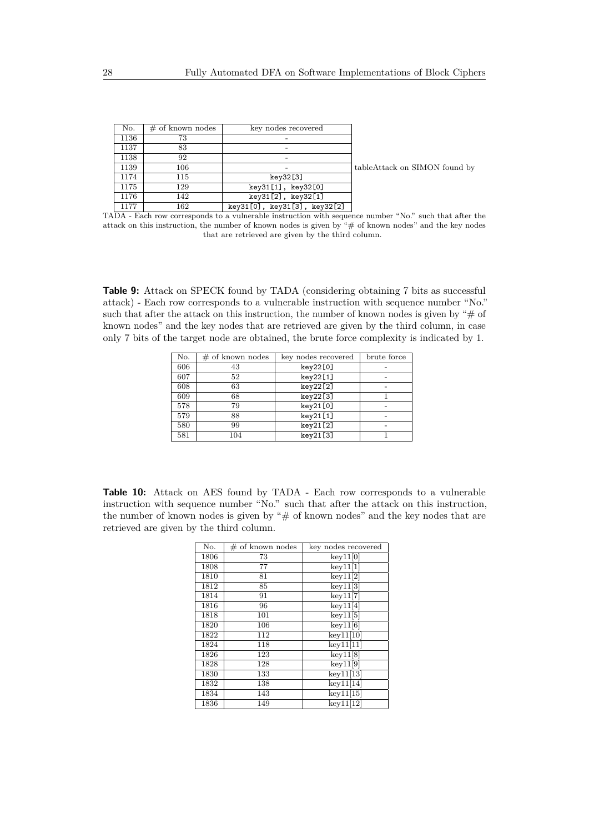| No.  | $#$ of known nodes | key nodes recovered          |                               |
|------|--------------------|------------------------------|-------------------------------|
| 1136 | 73                 |                              |                               |
| 1137 | 83                 |                              |                               |
| 1138 | 92                 |                              |                               |
| 1139 | 106                |                              | tableAttack on SIMON found by |
| 1174 | 115                | key32[3]                     |                               |
| 1175 | 129                | key31[1], key32[0]           |                               |
| 1176 | 142                | key31[2], key32[1]           |                               |
| 1177 | 162                | key31[0], key31[3], key32[2] |                               |

TADA - Each row corresponds to a vulnerable instruction with sequence number "No." such that after the attack on this instruction, the number of known nodes is given by "# of known nodes" and the key nodes that are retrieved are given by the third column.

<span id="page-27-0"></span>**Table 9:** Attack on SPECK found by TADA (considering obtaining 7 bits as successful attack) - Each row corresponds to a vulnerable instruction with sequence number "No." such that after the attack on this instruction, the number of known nodes is given by " $\#$  of known nodes" and the key nodes that are retrieved are given by the third column, in case only 7 bits of the target node are obtained, the brute force complexity is indicated by 1.

| No. | $\#$ of known nodes | key nodes recovered | brute force |
|-----|---------------------|---------------------|-------------|
| 606 | 43                  | key22[0]            |             |
| 607 | 52                  | key22[1]            |             |
| 608 | 63                  | key22[2]            |             |
| 609 | 68                  | key22[3]            |             |
| 578 | 79                  | key21[0]            |             |
| 579 | 88                  | key21[1]            |             |
| 580 | 99                  | key21[2]            |             |
| 581 | 104                 | key21[3]            |             |

<span id="page-27-1"></span>**Table 10:** Attack on AES found by TADA - Each row corresponds to a vulnerable instruction with sequence number "No." such that after the attack on this instruction, the number of known nodes is given by " $#$  of known nodes" and the key nodes that are retrieved are given by the third column.

| Ñο.  | $#$ of known nodes | key nodes recovered |
|------|--------------------|---------------------|
| 1806 | 73                 | key11[0]            |
| 1808 | 77                 | key11[1]            |
| 1810 | 81                 | key11[2]            |
| 1812 | 85                 | key11[3]            |
| 1814 | 91                 | key11[7]            |
| 1816 | 96                 | key11[4]            |
| 1818 | 101                | key11[5]            |
| 1820 | 106                | key11[6]            |
| 1822 | 112                | key11[10]           |
| 1824 | 118                | key11[11]           |
| 1826 | 123                | key11[8]            |
| 1828 | 128                | key11[9]            |
| 1830 | 133                | key11[13]           |
| 1832 | 138                | key11[14]           |
| 1834 | 143                | key11[15]           |
| 1836 | 149                | key11[12]           |